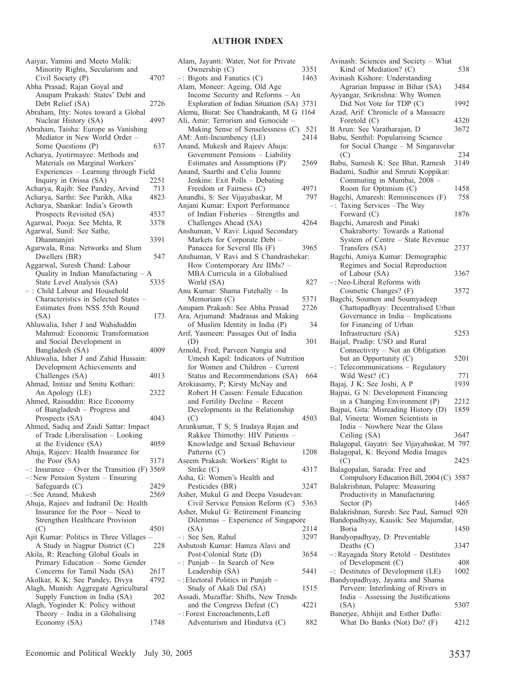## **AUTHOR INDEX**

| Aaiyar, Yamini and Meeto Malik:<br>Minority Rights, Secularism and<br>Civil Society (P)   | 4707 |
|-------------------------------------------------------------------------------------------|------|
| Abha Prasad; Rajan Goyal and                                                              |      |
| Anupam Prakash: States' Debt and<br>Debt Relief (SA)                                      | 2726 |
| Abraham, Itty: Notes toward a Global<br>Nuclear History (SA)                              | 4997 |
| Abraham, Taisha: Europe as Vanishing<br>Mediator in New World Order -                     |      |
| Some Questions (P)<br>Acharya, Jyotirmayee: Methods and                                   | 637  |
| Materials on Marginal Workers'<br>Experiences - Learning through Field                    |      |
| Inquiry in Orissa (SA)                                                                    | 2251 |
| Acharya, Rajib: See Pandey, Arvind                                                        | 713  |
| Acharya, Sarthi: See Parikh, Alka                                                         | 4823 |
|                                                                                           |      |
| Acharya, Shankar: India's Growth                                                          |      |
| Prospects Revisited (SA)                                                                  | 4537 |
| Agarwal, Pooja: See Mehta, R                                                              | 3378 |
| Agarwal, Sunil: See Sathe,                                                                |      |
| Dhanmanjiri                                                                               | 3391 |
| Agarwala, Rina: Networks and Slum                                                         |      |
| Dwellers (BR)                                                                             | 547  |
| Aggarwal, Suresh Chand: Labour<br>Quality in Indian Manufacturing                         |      |
| State Level Analysis (SA)                                                                 | 5335 |
| : Child Labour and Household                                                              |      |
| Characteristics in Selected States -                                                      |      |
| Estimates from NSS 55th Round<br>(SA)                                                     | 173  |
| Ahluwalia, Isher J and Wahiduddin                                                         |      |
| Mahmud: Economic Transformation                                                           |      |
| and Social Development in                                                                 |      |
|                                                                                           | 4009 |
| Bangladesh (SA)                                                                           |      |
| Ahluwalia, Isher J and Zahid Hussain:<br>Development Achievements and                     |      |
| Challenges (SA)<br>Ahmad, Imtiaz and Smitu Kothari:                                       | 4013 |
| An Apology (LE)                                                                           | 2322 |
| Ahmed, Raisuddin: Rice Economy                                                            |      |
| of Bangladesh - Progress and                                                              |      |
| Prospects (SA)                                                                            | 4043 |
| Ahmed, Sadiq and Zaidi Sattar: Impact                                                     |      |
| of Trade Liberalisation - Looking                                                         |      |
|                                                                                           | 4059 |
| at the Evidence (SA)                                                                      |      |
| Ahuja, Rajeev: Health Insurance for                                                       |      |
| the Poor (SA)                                                                             | 3171 |
| $-$ : Insurance $-$ Over the Transition (F) 3569<br>$-$ : New Pension System $-$ Ensuring |      |
| Safeguards (C)                                                                            | 2429 |
|                                                                                           | 2569 |
| -: See Anand, Mukesh                                                                      |      |
| Ahuja, Rajeev and Indranil De: Health<br>Insurance for the Poor - Need to                 |      |
| Strengthen Healthcare Provision                                                           |      |
| (C)                                                                                       | 4501 |
| Ajit Kumar: Politics in Three Villages<br>A Study in Nagpur District (C)                  | 228  |
| Akila, R: Reaching Global Goals in                                                        |      |
|                                                                                           |      |
| Primary Education - Some Gender                                                           |      |
| Concerns for Tamil Nadu (SA)                                                              | 2617 |
| Akolkar, K K: See Pandey, Divya                                                           | 4792 |
| Alagh, Munish: Aggregate Agricultural                                                     |      |
|                                                                                           | 202  |
| Supply Function in India (SA)<br>Alagh, Yoginder K: Policy without                        |      |
| Theory - India in a Globalising<br>Economy (SA)                                           | 1748 |

| Alam, Jayanti: Water, Not for Private                                   |      |
|-------------------------------------------------------------------------|------|
| Ownership (C)                                                           | 3351 |
| $-$ : Bigots and Fanatics (C)                                           | 1463 |
| Alam, Moneer: Ageing, Old Age                                           |      |
| Income Security and Reforms - An                                        |      |
| Exploration of Indian Situation (SA)                                    | 3731 |
| Alemu, Bisrat: See Chandrakanth, M G                                    | 1164 |
| Ali, Amir: Terrorism and Genocide -                                     |      |
| Making Sense of Senselessness (C)                                       | 521  |
| AM: Anti-Incumbency (LE)                                                | 2414 |
| Anand, Mukesh and Rajeev Ahuja:<br>Government Pensions - Liability      |      |
| Estimates and Assumptions (P)                                           | 2569 |
| Anand, Saarthi and Celia Joanne                                         |      |
| Jenkins: Exit Polls - Debating                                          |      |
| Freedom or Fairness (C)                                                 | 4971 |
| Anandhi, S: See Vijayabaskar, M                                         | 797  |
| Anjani Kumar: Export Performance                                        |      |
| of Indian Fisheries - Strengths and                                     |      |
| Challenges Ahead (SA)                                                   | 4264 |
| Anshuman, V Ravi: Liquid Secondary                                      |      |
| Markets for Corporate Debt -                                            |      |
| Panacea for Several Ills (F)                                            | 3965 |
| Anshuman, V Ravi and S Chandrashekar:                                   |      |
| How Contemporary Are IIMs? -                                            |      |
| MBA Curricula in a Globalised                                           |      |
| World (SA)                                                              | 827  |
| Anu Kumar: Shama Futehally - In                                         |      |
| Memoriam (C)                                                            | 5371 |
| Anupam Prakash: See Abha Prasad                                         | 2726 |
| Ara, Arjumand: Madrasas and Making                                      |      |
| of Muslim Identity in India (P)<br>Arif, Yasmeen: Passages Out of India | 34   |
|                                                                         |      |
|                                                                         |      |
| (D)                                                                     | 301  |
| Arnold, Fred; Parveen Nangia and                                        |      |
| Umesh Kapil: Indicators of Nutrition                                    |      |
| for Women and Children - Current                                        |      |
| Status and Recommendations (SA)                                         | 664  |
| Arokiasamy, P; Kirsty McNay and                                         |      |
| Robert H Cassen: Female Education                                       |      |
| and Fertility Decline - Recent                                          |      |
| Developments in the Relationship                                        | 4503 |
| (C)<br>Arunkumar, T S; S Irudaya Rajan and                              |      |
| Rakkee Thimothy: HIV Patients -                                         |      |
| Knowledge and Sexual Behaviour                                          |      |
| Patterns (C)                                                            | 1208 |
| Aseem Prakash: Workers' Right to                                        |      |
| Strike (C)                                                              | 4317 |
| Asha, G: Women's Health and                                             |      |
| Pesticides (BR)                                                         | 3247 |
| Asher, Mukul G and Deepa Vasudevan:                                     |      |
| Civil Service Pension Reform (C)                                        | 5363 |
| Asher, Mukul G: Retirement Financing                                    |      |
| Dilemmas – Experience of Singapore                                      |      |
| (SA)                                                                    | 2114 |
| -: See Sen, Rahul                                                       | 3297 |
| Ashutosh Kumar: Hamza Alavi and                                         |      |
| Post-Colonial State (D)                                                 | 3654 |
| -: Punjab - In Search of New<br>Leadership (SA)                         | 5441 |
| -: Electoral Politics in Punjab -                                       |      |
| Study of Akali Dal (SA)                                                 | 1515 |
| Assadi, Muzaffar: Shifts, New Trends                                    |      |
| and the Congress Defeat (C)                                             | 4221 |
| -: Forest Encroachments, Left<br>Adventurism and Hindutva (C)           | 882  |

| Avinash: Sciences and Society - What<br>Kind of Mediation? (C)                                      | 538  |
|-----------------------------------------------------------------------------------------------------|------|
| Avinash Kishore: Understanding<br>Agrarian Impasse in Bihar (SA)<br>Ayyangar, Srikrishna: Why Women | 3484 |
| Did Not Vote for TDP (C)<br>Azad, Arif: Chronicle of a Massacre                                     | 1992 |
| Foretold (C)                                                                                        | 4320 |
| B Arun: See Varatharajan, D<br>Babu, Senthil: Popularising Science                                  | 3672 |
| for Social Change - M Singaravelar                                                                  |      |
| (C)                                                                                                 | 234  |
| Babu, Sumesh K: See Bhat, Ramesh<br>Badami, Sudhir and Smruti Koppikar:                             | 3149 |
| Commuting in Mumbai, 2008 -                                                                         |      |
| Room for Optimism (C)                                                                               | 1458 |
| Bagchi, Amaresh: Reminiscences (F)                                                                  | 758  |
| -: Taxing Services - The Way                                                                        |      |
| Forward (C)                                                                                         | 1876 |
| Bagchi, Amaresh and Pinaki<br>Chakraborty: Towards a Rational                                       |      |
| System of Centre - State Revenue                                                                    |      |
| Transfers (SA)                                                                                      | 2737 |
| Bagchi, Amiya Kumar: Demographic                                                                    |      |
| Regimes and Social Reproduction                                                                     |      |
| of Labour (SA)                                                                                      | 3367 |
| -: Neo-Liberal Reforms with                                                                         |      |
| Cosmetic Changes? (F)                                                                               | 3572 |
| Bagchi, Soumen and Soumyadeep                                                                       |      |
| Chattopadhyay: Decentralised Urban                                                                  |      |
| Governance in India - Implications                                                                  |      |
| for Financing of Urban                                                                              |      |
| Infrastructure (SA)                                                                                 | 5253 |
| Baijal, Pradip: USO and Rural<br>Connectivity - Not an Obligation                                   |      |
| but an Opportunity (C)                                                                              | 5201 |
| -: Telecommunications - Regulatory                                                                  |      |
| Wild West? (C)                                                                                      | 771  |
| Bajaj, J K: See Joshi, A P                                                                          | 1939 |
| Bajpai, G N: Development Financing                                                                  |      |
| in a Changing Environment (P)                                                                       | 2212 |
| Bajpai, Gita: Misreading History (D)                                                                | 1859 |
| Bal, Vineeta: Women Scientists in                                                                   |      |
| India - Nowhere Near the Glass                                                                      |      |
| Ceiling (SA)<br>Balagopal, Gayatri: See Vijayabaskar, M 797                                         | 3647 |
| Balagopal, K: Beyond Media Images                                                                   |      |
| (C)                                                                                                 | 2425 |
| Balagopalan, Sarada: Free and                                                                       |      |
| Compulsory Education Bill, 2004 (C) 3587                                                            |      |
| Balakrishnan, Pulapre: Measuring                                                                    |      |
| Productivity in Manufacturing                                                                       |      |
| Sector $(P)$                                                                                        | 1465 |
| Balakrishnan, Suresh: See Paul, Samuel 920                                                          |      |
| Bandopadhyay, Kausik: See Majumdar,                                                                 |      |
| Boria                                                                                               | 1450 |
| Bandyopadhyay, D: Preventable<br>Deaths $(C)$                                                       | 3347 |
| -: Rayagada Story Retold - Destitutes                                                               |      |
| of Development (C)                                                                                  | 408  |
| Destitutes of Development (LE)<br>÷.                                                                | 1002 |
| Bandyopadhyay, Jayanta and Shama                                                                    |      |
| Perveen: Interlinking of Rivers in                                                                  |      |
| India - Assessing the Justifications                                                                |      |
| (SA)                                                                                                | 5307 |
| Banerjee, Abhijit and Esther Duflo:                                                                 |      |
| What Do Banks (Not) Do? (F)                                                                         | 4212 |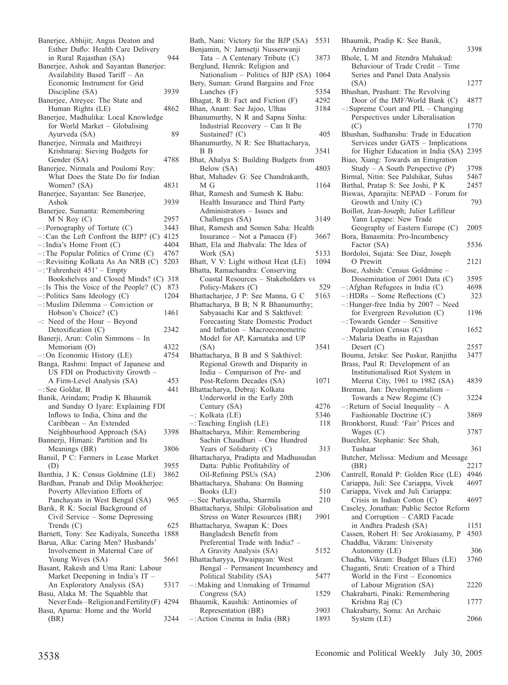| Banerjee, Abhijit; Angus Deaton and                                            |      |
|--------------------------------------------------------------------------------|------|
| Esther Duflo: Health Care Delivery                                             |      |
| in Rural Rajasthan (SA)                                                        | 944  |
| Banerjee, Ashok and Sayantan Banerjee:                                         |      |
| Availability Based Tariff - An                                                 |      |
| Economic Instrument for Grid                                                   |      |
| Discipline (SA)                                                                | 3939 |
| Banerjee, Atreyee: The State and                                               |      |
| Human Rights (LE)                                                              | 4862 |
| Banerjee, Madhulika: Local Knowledge<br>for World Market - Globalising         |      |
| Ayurveda (SA)                                                                  | 89   |
| Banerjee, Nirmala and Maithreyi                                                |      |
|                                                                                |      |
| Krishnaraj: Sieving Budgets for                                                | 4788 |
| Gender (SA)<br>Banerjee, Nirmala and Poulomi Roy:                              |      |
| What Does the State Do for Indian                                              |      |
| Women? (SA)                                                                    | 4831 |
| Banerjee, Sayantan: See Banerjee,                                              |      |
| Ashok                                                                          | 3939 |
|                                                                                |      |
| Banerjee, Sumanta: Remembering<br>M N Roy(C)                                   | 2957 |
|                                                                                |      |
| $-$ : Pornography of Torture $(C)$                                             | 3443 |
| $-$ : Can the Left Confront the BJP? (C)                                       | 4125 |
| -: India's Home Front (C)                                                      | 4404 |
| -: The Popular Politics of Crime (C)                                           | 4767 |
| -: Revisiting Kolkata As An NRB (C)                                            | 5203 |
| -: 'Fahrenheit 451' - Empty                                                    |      |
| Bookshelves and Closed Minds? (C) 318                                          |      |
| $-$ : Is This the Voice of the People? (C) 873                                 |      |
| $-$ : Politics Sans Ideology (C)                                               | 1204 |
| -: Muslim Dilemma - Conviction or                                              |      |
| Hobson's Choice? (C)                                                           | 1461 |
| Need of the Hour - Beyond<br>$-$ :                                             |      |
| Detoxification (C)                                                             | 2342 |
| Banerji, Arun: Colin Simmons - In                                              |      |
| Memoriam (O)                                                                   | 4322 |
| $-$ : On Economic History (LE)                                                 | 4754 |
| Banga, Rashmi: Impact of Japanese and                                          |      |
| US FDI on Productivity Growth                                                  |      |
| A Firm-Level Analysis (SA)                                                     | 453  |
| $-$ : See Goldar, B                                                            | 441  |
| Banik, Arindam; Pradip K Bhaumik                                               |      |
| and Sunday O Iyare: Explaining FDI                                             |      |
| Inflows to India, China and the                                                |      |
| Caribbean - An Extended                                                        |      |
| Neighbourhood Approach (SA)                                                    | 3398 |
| Bannerji, Himani: Partition and Its                                            |      |
| Meanings (BR)                                                                  |      |
| Bansil, P C: Farmers in Lease Market                                           | 3806 |
| (D)                                                                            |      |
|                                                                                | 3955 |
|                                                                                | 3862 |
| Banthia, J K: Census Goldmine (LE)                                             |      |
| Bardhan, Pranab and Dilip Mookherjee:                                          |      |
| Poverty Alleviation Efforts of<br>Panchayats in West Bengal (SA)               | 965  |
|                                                                                |      |
| Barik, R K: Social Background of                                               |      |
| Civil Service - Some Depressing<br>Trends $(C)$                                | 625  |
|                                                                                | 1888 |
| Barnett, Tony: See Kadiyala, Suneetha                                          |      |
| Barua, Alka: Caring Men? Husbands'                                             |      |
| Involvement in Maternal Care of                                                | 5661 |
| Young Wives (SA)                                                               |      |
| Basant, Rakesh and Uma Rani: Labour                                            |      |
| Market Deepening in India's IT -                                               |      |
| An Exploratory Analysis (SA)                                                   | 5317 |
| Basu, Alaka M: The Squabble that                                               |      |
| Never Ends-Religion and Fertility (F) 4294<br>Basu, Aparna: Home and the World |      |
| (BR)                                                                           | 3244 |

Bath, Nani: Victory for the BJP (SA) 5531 Benjamin, N: Jamsetji Nusserwanji Tata – A Centenary Tribute  $(C)$  3873 Berglund, Henrik: Religion and Nationalism – Politics of BJP (SA) 1064 Bery, Suman: Grand Bargains and Free<br>Lunches (F) 5354 Lunches (F) 5354<br>agat, R B: Fact and Fiction (F) 4292 Bhagat,  $R$  B: Fact and Fiction  $(F)$ Bhan, Anant: See Jajoo, Ulhas 3184 Bhanumurthy, N R and Sapna Sinha: Industrial Recovery – Can It Be Sustained? (C) 405 Bhanumurthy, N R: See Bhattacharya, B B 3541 Bhat, Ahalya S: Building Budgets from Below (SA) Bhat, Mahadev G: See Chandrakanth, M G 1164 Bhat, Ramesh and Sumesh K Babu: Health Insurance and Third Party Administrators – Issues and Challenges (SA) 3149 Bhat, Ramesh and Somen Saha: Health Insurance – Not a Panacea (F) 3667 Bhatt, Ela and Jhabvala: The Idea of Work (SA) 5133 Bhatt, V V: Light without Heat (LE) 1094 Bhatta, Ramachandra: Conserving Coastal Resources – Stakeholders vs Policy-Makers (C) 529 Bhattacharjee, J P: See Manna, G C 5163 Bhattacharya, B B; N R Bhanumurthy; Sabyasachi Kar and S Sakthivel: Forecasting State Domestic Product and Inflation – Macroeconometric Model for AP, Karnataka and UP (SA) 3541 Bhattacharya, B B and S Sakthivel: Regional Growth and Disparity in India – Comparison of Pre- and Post-Reform Decades (SA) 1071 Bhattacharya, Debraj: Kolkata Underworld in the Early 20th Century (SA) 4276 –: Kolkata (LE) 5346 –:Teaching English (LE) 118 Bhattacharya, Mihir: Remembering Sachin Chaudhuri – One Hundred Years of Solidarity (C) 313 Bhattacharya, Pradipta and Madhusudan Datta: Public Profitability of Oil-Refining PSUs (SA) 2306 Bhattacharya, Shahana: On Banning  $Books$  (LE)  $510$ –:See Purkayastha, Sharmila 210 Bhattacharya, Shilpi: Globalisation and Stress on Water Resources (BR) 3901 Bhattacharya, Swapan K: Does Bangladesh Benefit from Preferential Trade with India? – A Gravity Analysis (SA) 5152 Bhattacharyya, Dwaipayan: West Bengal – Permanent Incumbency and<br>Political Stability (SA) 5477 Political Stability (SA) –:Making and Unmaking of Trinamul Congress (SA) 1529 Bhaumik, Kaushik: Antinomies of Representation (BR) 3903 –:Action Cinema in India (BR) 1893

| Bhaumik, Pradip K: See Banik,                |      |
|----------------------------------------------|------|
| Arindam                                      | 3398 |
| Bhole, L M and Jitendra Mahakud:             |      |
| Behaviour of Trade Credit - Time             |      |
| Series and Panel Data Analysis               |      |
| (SA)                                         | 1277 |
| Bhushan, Prashant: The Revolving             |      |
| Door of the IMF/World Bank (C)               | 4877 |
| $-$ : Supreme Court and PIL $-$ Changing     |      |
| Perspectives under Liberalisation            |      |
|                                              |      |
| (C)                                          | 1770 |
| Bhushan, Sudhanshu: Trade in Education       |      |
| Services under GATS - Implications           |      |
| for Higher Education in India (SA)           | 2395 |
| Biao, Xiang: Towards an Emigration           |      |
| Study $- A$ South Perspective (P)            | 3798 |
| Birmal, Nitin: See Palshikar, Suhas          | 5467 |
| Birthal, Pratap S: See Joshi, P K            | 2457 |
| Biswas, Aparajita: NEPAD - Forum for         |      |
| Growth and Unity (C)                         | 793  |
|                                              |      |
| Boillot, Jean-Joseph; Julier Lefilleur       |      |
| Yann Lepape: New Trade                       |      |
| Geography of Eastern Europe (C)              | 2005 |
| Bora, Banasmita: Pro-Incumbency              |      |
| Factor (SA)                                  | 5536 |
| Bordoloi, Sujata: See Diaz, Joseph           |      |
| O Prewitt                                    | 2121 |
| Bose, Ashish: Census Goldmine -              |      |
| Dissemination of 2001 Data (C)               | 3595 |
| $-$ : Afghan Refugees in India (C)           | 4698 |
|                                              | 323  |
| $-$ : HDRs – Some Reflections (C)            |      |
| -: Hunger-free India by 2007 - Need          |      |
| for Evergreen Revolution (C)                 | 1196 |
| -: Towards Gender - Sensitive                |      |
| Population Census (C)                        | 1652 |
| -: Malaria Deaths in Rajasthan               |      |
| Desert $(C)$                                 | 2557 |
| Bouma, Jetske: See Puskur, Ranjitha          | 3477 |
| Brass, Paul R: Development of an             |      |
| Institutionalised Riot System in             |      |
| Meerut City, 1961 to 1982 (SA)               | 4839 |
|                                              |      |
| Breman, Jan: Developmentalism -              |      |
| Towards a New Regime (C)                     | 3224 |
| $-$ : Return of Social Inequality $-$ A      |      |
| Fashionable Doctrine (C)                     | 3869 |
| Bronkhorst, Ruud: 'Fair' Prices and          |      |
| Wages (C)                                    | 3787 |
| Buechler, Stephanie: See Shah,               |      |
| Tushaar                                      | 361  |
| Butcher, Melissa: Medium and Message         |      |
| (BR)                                         | 2217 |
| Cantrell, Ronald P: Golden Rice (LE)         | 4946 |
| Cariappa, Juli: See Cariappa, Vivek          |      |
|                                              | 4697 |
| Cariappa, Vivek and Juli Cariappa:           |      |
| Crisis in Indian Cotton (C)                  | 4697 |
| Caseley, Jonathan: Public Sector Reform      |      |
| and Corruption - CARD Facade                 |      |
| in Andhra Pradesh (SA)                       | 1151 |
| Cassen, Robert H: See Arokiasamy, P          | 4503 |
| Chaddha, Vikram: University                  |      |
| Autonomy (LE)                                | 306  |
| Chadha, Vikram: Budget Blues (LE)            | 3760 |
| Chaganti, Sruti: Creation of a Third         |      |
| World in the First - Economics               |      |
| of Labour Migration (SA)                     |      |
|                                              |      |
|                                              | 2220 |
| Chakrabarti, Pinaki: Remembering             |      |
| Krishna Raj (C)                              | 1777 |
| Chakrabarty, Soma: An Archaic<br>System (LE) | 2066 |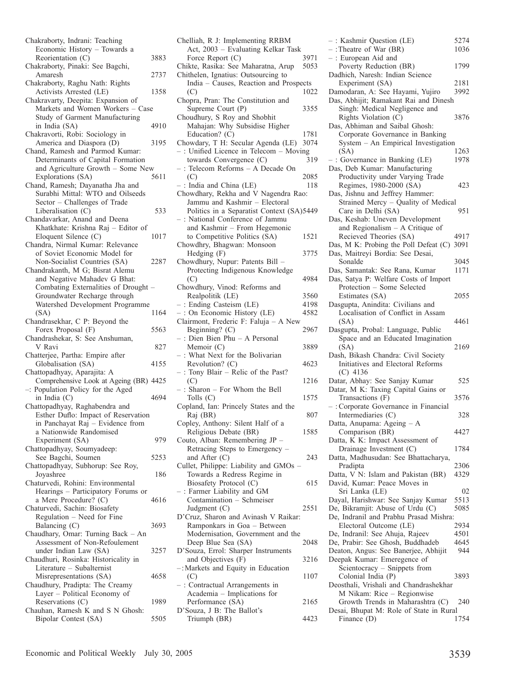| Chakraborty, Indrani: Teaching                              |      |
|-------------------------------------------------------------|------|
| Economic History - Towards a                                |      |
| Reorientation (C)                                           | 3883 |
| Chakraborty, Pinaki: See Bagchi,                            |      |
| Amaresh                                                     | 2737 |
| Chakraborty, Raghu Nath: Rights<br>Activists Arrested (LE)  | 1358 |
| Chakravarty, Deepita: Expansion of                          |      |
| Markets and Women Workers - Case                            |      |
| Study of Garment Manufacturing                              |      |
| in India (SA)                                               | 4910 |
| Chakravorti, Robi: Sociology in                             |      |
| America and Diaspora (D)                                    | 3195 |
| Chand, Ramesh and Parmod Kumar:                             |      |
| Determinants of Capital Formation                           |      |
| and Agriculture Growth - Some New                           |      |
| Explorations (SA)                                           | 5611 |
| Chand, Ramesh; Dayanatha Jha and                            |      |
| Surabhi Mittal: WTO and Oilseeds                            |      |
| Sector - Challenges of Trade                                |      |
| Liberalisation (C)                                          | 533  |
| Chandavarkar, Anand and Deena                               |      |
| Khatkhate: Krishna Raj - Editor of                          |      |
| Eloquent Silence (C)                                        | 1017 |
| Chandra, Nirmal Kumar: Relevance                            |      |
| of Soviet Economic Model for                                |      |
| Non-Socialist Countries (SA)                                | 2287 |
| Chandrakanth, M G; Bisrat Alemu                             |      |
| and Negative Mahadev G Bhat:                                |      |
| Combating Externalities of Drought -                        |      |
| Groundwater Recharge through                                |      |
| Watershed Development Programme                             |      |
| (SA)                                                        | 1164 |
| Chandrasekhar, C P: Beyond the                              |      |
| Forex Proposal (F)                                          | 5563 |
| Chandrashekar, S: See Anshuman,                             |      |
| V Ravi                                                      | 827  |
| Chatterjee, Partha: Empire after                            |      |
| Globalisation (SA)                                          | 4155 |
| Chattopadhyay, Aparajita: A                                 |      |
| Comprehensive Look at Ageing (BR) 4425                      |      |
| -: Population Policy for the Aged                           |      |
| in India (C)                                                | 4694 |
| Chattopadhyay, Raghabendra and                              |      |
| Esther Duflo: Impact of Reservation                         |      |
| in Panchayat Raj - Evidence from                            |      |
| a Nationwide Randomised                                     |      |
| Experiment (SA)                                             | 979  |
| Chattopadhyay, Soumyadeep:                                  |      |
| See Bagchi, Soumen                                          | 5253 |
| Chattopadhyay, Subhorup: See Roy,                           |      |
| Joyashree<br>Chaturvedi, Rohini: Environmental              | 186  |
|                                                             |      |
| Hearings - Participatory Forums or<br>a Mere Procedure? (C) | 4616 |
| Chaturvedi, Sachin: Biosafety                               |      |
|                                                             |      |
| Regulation – Need for Fine<br>Balancing (C)                 | 3693 |
| Chaudhary, Omar: Turning Back - An                          |      |
| Assessment of Non-Refoulement                               |      |
| under Indian Law (SA)                                       | 3257 |
| Chaudhuri, Rosinka: Historicality in                        |      |
| Literature – Subalternist                                   |      |
| Misrepresentations (SA)                                     |      |
|                                                             |      |
|                                                             | 4658 |
| Chaudhury, Pradipta: The Creamy                             |      |
| Layer - Political Economy of                                |      |
| Reservations (C)                                            | 1989 |
| Chauhan, Ramesh K and S N Ghosh:<br>Bipolar Contest (SA)    | 5505 |

| Chelliah, R J: Implementing RRBM                                           |      |
|----------------------------------------------------------------------------|------|
| Act, 2003 - Evaluating Kelkar Task                                         |      |
| Force Report (C)                                                           | 3971 |
| Chikte, Rasika: See Maharatna, Arup<br>Chithelen, Ignatius: Outsourcing to | 5053 |
| India - Causes, Reaction and Prospects                                     |      |
| (C)                                                                        | 1022 |
| Chopra, Pran: The Constitution and                                         |      |
| Supreme Court (P)                                                          | 3355 |
| Choudhury, S Roy and Shobhit                                               |      |
| Mahajan: Why Subsidise Higher                                              |      |
| Education? (C)                                                             | 1781 |
| Chowdary, T H: Secular Agenda (LE)                                         | 3074 |
| -: Unified Licence in Telecom - Moving<br>towards Convergence (C)          |      |
| -: Telecom Reforms - A Decade On                                           | 319  |
| (C)                                                                        | 2085 |
| -: India and China (LE)                                                    | 118  |
| Chowdhary, Rekha and V Nagendra Rao:                                       |      |
| Jammu and Kashmir - Electoral                                              |      |
| Politics in a Separatist Context (SA)5449                                  |      |
| -: National Conference of Jammu                                            |      |
| and Kashmir - From Hegemonic                                               |      |
| to Competitive Politics (SA)                                               | 1521 |
| Chowdhry, Bhagwan: Monsoon<br>Hedging (F)                                  | 3775 |
| Chowdhury, Nupur: Patents Bill -                                           |      |
| Protecting Indigenous Knowledge                                            |      |
| (C)                                                                        | 4984 |
| Chowdhury, Vinod: Reforms and                                              |      |
| Realpolitik (LE)                                                           | 3560 |
| -: Ending Casteism (LE)                                                    | 4198 |
| -: On Economic History (LE)                                                | 4582 |
| Clairmont, Frederic F: Faluja - A New                                      |      |
| Beginning? (C)<br>-: Dien Bien Phu - A Personal                            | 2967 |
| Memoir (C)                                                                 | 3889 |
| -: What Next for the Bolivarian                                            |      |
| Revolution? (C)                                                            | 4623 |
| -: Tony Blair - Relic of the Past?                                         |      |
| (C)                                                                        | 1216 |
| -: Sharon - For Whom the Bell                                              |      |
| Tolls (C)                                                                  | 1575 |
| Copland, Ian: Princely States and the<br>Raj (BR)                          | 807  |
| Copley, Anthony: Silent Half of a                                          |      |
| Religious Debate (BR)                                                      | 1585 |
| Couto, Alban: Remembering JP -                                             |      |
| Retracing Steps to Emergency -                                             |      |
| and After (C)                                                              | 243  |
| Cullet, Philippe: Liability and GMOs -                                     |      |
| Towards a Redress Regime in                                                |      |
| Biosafety Protocol (C)<br>-: Farmer Liability and GM                       | 615  |
| Contamination - Schmeiser                                                  |      |
| Judgment $(C)$                                                             | 2551 |
| D'Cruz, Sharon and Avinash V Raikar:                                       |      |
| Ramponkars in Goa - Between                                                |      |
| Modernisation, Government and the                                          |      |
| Deep Blue Sea (SA)                                                         | 2048 |
| D'Souza, Errol: Sharper Instruments                                        |      |
| and Objectives (F)                                                         | 3216 |
| -: Markets and Equity in Education<br>(C)                                  | 1107 |
| -: Contractual Arrangements in                                             |      |
| Academia - Implications for                                                |      |
| Performance (SA)                                                           | 2165 |
| D'Souza, J B: The Ballot's                                                 |      |
| Triumph (BR)                                                               | 4423 |

|              | -: Kashmir Question (LE)                                               | 5274         |
|--------------|------------------------------------------------------------------------|--------------|
|              | $-$ : Theatre of War (BR)                                              | 1036         |
| 3971         | -: European Aid and                                                    |              |
| 5053         | Poverty Reduction (BR)                                                 | 1799         |
|              | Dadhich, Naresh: Indian Science                                        |              |
| ects         | Experiment (SA)                                                        | 2181         |
| 1022         | Damodaran, A: See Hayami, Yujiro                                       | 3992         |
|              | Das, Abhijit; Ramakant Rai and Dinesh                                  |              |
| 3355         | Singh: Medical Negligence and                                          |              |
|              | Rights Violation (C)                                                   | 3876         |
|              | Das, Abhiman and Saibal Ghosh:                                         |              |
| 1781         | Corporate Governance in Banking                                        |              |
| 3074         | System - An Empirical Investigation                                    |              |
| ng           | (SA)                                                                   | 1263         |
| 319          | $-$ : Governance in Banking (LE)                                       | 1978         |
|              | Das, Deb Kumar: Manufacturing                                          |              |
| 2085         | Productivity under Varying Trade                                       |              |
| 118          | Regimes, 1980-2000 (SA)                                                | 423          |
| 0.           | Das, Jishnu and Jeffrey Hammer:                                        |              |
|              | Strained Mercy - Quality of Medical                                    |              |
| 15449        | Care in Delhi (SA)                                                     | 951          |
|              | Das, Keshab: Uneven Development                                        |              |
|              | and Regionalism - A Critique of                                        |              |
| 1521         | Recieved Theories (SA)                                                 | 4917         |
|              | Das, M K: Probing the Poll Defeat (C)                                  | 3091         |
| 3775         | Das, Maitreyi Bordia: See Desai,                                       |              |
|              | Sonalde                                                                | 3045<br>1171 |
|              | Das, Samantak: See Rana, Kumar                                         |              |
| 4984         | Das, Satya P: Welfare Costs of Import                                  |              |
| 3560         | Protection - Some Selected                                             | 2055         |
|              | Estimates (SA)                                                         |              |
| 4198<br>4582 | Dasgupta, Anindita: Civilians and<br>Localisation of Conflict in Assam |              |
|              | (SA)                                                                   | 4461         |
| 2967         | Dasgupta, Probal: Language, Public                                     |              |
|              | Space and an Educated Imagination                                      |              |
| 3889         | (SA)                                                                   | 2169         |
|              | Dash, Bikash Chandra: Civil Society                                    |              |
| 4623         | Initiatives and Electoral Reforms                                      |              |
|              | $(C)$ 4136                                                             |              |
| 1216         | Datar, Abhay: See Sanjay Kumar                                         | 525          |
|              | Datar, M K: Taxing Capital Gains or                                    |              |
| 1575         | Transactions (F)                                                       | 3576         |
|              | $-$ : Corporate Governance in Financial                                |              |
| 807          | Intermediaries (C)                                                     | 328          |
|              | Datta, Anupama: Ageing - A                                             |              |
| 1585         | Comparison (BR)                                                        | 4427         |
|              | Datta, K K: Impact Assessment of                                       |              |
|              | Drainage Investment (C)                                                | 1784         |
| 243          | Datta, Madhusudan: See Bhattacharya,                                   |              |
|              | Pradipta                                                               | 2306         |
|              | Datta, V N: Islam and Pakistan (BR)                                    | 4329         |
| 615          | David, Kumar: Peace Moves in                                           |              |
|              | Sri Lanka (LE)                                                         | 02<br>5513   |
| 2551         | Dayal, Harishwar: See Sanjay Kumar<br>De, Bikramjit: Abuse of Urdu (C) | 5085         |
|              | De, Indranil and Prabhu Prasad Mishra:                                 |              |
|              | Electoral Outcome (LE)                                                 | 2934         |
|              | De, Indranil: See Ahuja, Rajeev                                        | 4501         |
| 2048         | De, Prabir: See Ghosh, Buddhadeb                                       | 4645         |
|              | Deaton, Angus: See Banerjee, Abhijit                                   | 944          |
| 3216         | Deepak Kumar: Emeregence of                                            |              |
|              | Scientocracy - Snippets from                                           |              |
| 1107         | Colonial India (P)                                                     | 3893         |
|              | Deosthali, Vrishali and Chandrashekhar                                 |              |
|              | M Nikam: Rice - Regionwise                                             |              |
| 2165         | Growth Trends in Maharashtra (C)                                       | 240          |
|              | Desai, Bhupat M: Role of State in Rural                                |              |
| 4423         | Finance $(D)$                                                          | 1754         |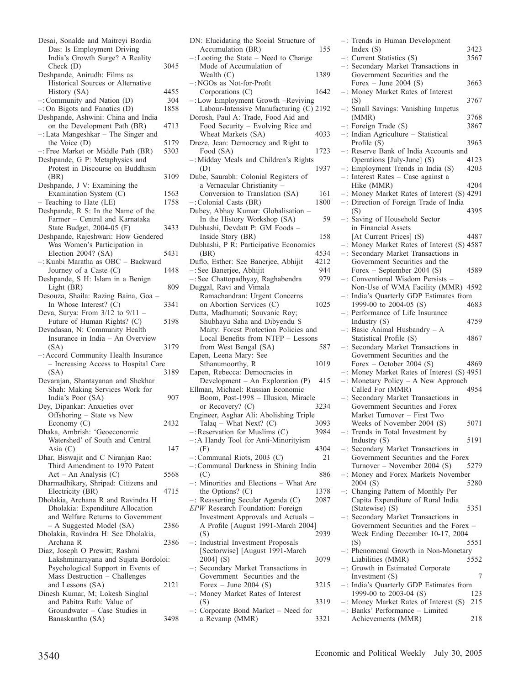| Desai, Sonalde and Maitreyi Bordia<br>Das: Is Employment Driving        |             |
|-------------------------------------------------------------------------|-------------|
| India's Growth Surge? A Reality                                         |             |
| Check (D)                                                               | 3045        |
| Deshpande, Anirudh: Films as                                            |             |
| Historical Sources or Alternative                                       |             |
| History (SA)                                                            | 4455<br>304 |
| -: Community and Nation (D)                                             |             |
| $-$ : On Bigots and Fanatics (D)<br>Deshpande, Ashwini: China and India | 1858        |
| on the Development Path (BR)                                            | 4713        |
| -: Lata Mangeshkar - The Singer and                                     |             |
| the Voice (D)                                                           | 5179        |
| -: Free Market or Middle Path (BR)                                      | 5303        |
| Deshpande, G P: Metaphysics and                                         |             |
| Protest in Discourse on Buddhism                                        |             |
| (BR)                                                                    | 3109        |
| Deshpande, J V: Examining the                                           |             |
| Examination System (C)                                                  | 1563        |
| - Teaching to Hate (LE)                                                 | 1758        |
| Deshpande, R S: In the Name of the                                      |             |
| Farmer - Central and Karnataka                                          |             |
| State Budget, 2004-05 (F)                                               | 3433        |
| Deshpande, Rajeshwari: How Gendered                                     |             |
| Was Women's Participation in                                            |             |
| Election 2004? (SA)                                                     | 5431        |
| -: Kunbi Maratha as OBC - Backward                                      |             |
| Journey of a Caste (C)                                                  | 1448        |
| Deshpande, S H: Islam in a Benign                                       |             |
| Light (BR)                                                              | 809         |
| Desouza, Shaila: Razing Baina, Goa -                                    |             |
| In Whose Interest? (C)                                                  | 3341        |
| Deva, Surya: From $3/12$ to $9/11$ -                                    |             |
| Future of Human Rights? (C)                                             | 5198        |
| Devadasan, N: Community Health                                          |             |
|                                                                         |             |
| Insurance in India - An Overview                                        |             |
| (SA)                                                                    | 3179        |
| -: Accord Community Health Insurance                                    |             |
| - Increasing Access to Hospital Care                                    |             |
| (SA)                                                                    | 3189        |
| Devarajan, Shantayanan and Shekhar                                      |             |
| Shah: Making Services Work for                                          |             |
| India's Poor (SA)                                                       | 907         |
| Dey, Dipankar: Anxieties over                                           |             |
| Offshoring - State vs New                                               |             |
| Economy (C)                                                             | 2432        |
| Dhaka, Ambrish: 'Geoeconomic                                            |             |
| Watershed' of South and Central                                         | 147         |
| Asia $(C)$<br>Dhar, Biswajit and C Niranjan Rao:                        |             |
| Third Amendment to 1970 Patent                                          |             |
|                                                                         | 5568        |
| Act - An Analysis (C)<br>Dharmadhikary, Shripad: Citizens and           |             |
| Electricity (BR)                                                        | 4715        |
| Dholakia, Archana R and Ravindra H                                      |             |
| Dholakia: Expenditure Allocation                                        |             |
| and Welfare Returns to Government                                       |             |
| - A Suggested Model (SA)                                                | 2386        |
| Dholakia, Ravindra H: See Dholakia,                                     |             |
| Archana R                                                               | 2386        |
| Diaz, Joseph O Prewitt; Rashmi                                          |             |
| Lakshminarayana and Sujata Bordoloi:                                    |             |
| Psychological Support in Events of                                      |             |
| Mass Destruction - Challenges                                           |             |
| and Lessons (SA)                                                        | 2121        |
| Dinesh Kumar, M; Lokesh Singhal                                         |             |
| and Pabitra Rath: Value of                                              |             |
| Groundwater - Case Studies in<br>Banaskantha (SA)                       | 3498        |

| DN: Elucidating the Social Structure of                               |      |
|-----------------------------------------------------------------------|------|
| Accumulation (BR)<br>-: Looting the State - Need to Change            | 155  |
| Mode of Accumulation of                                               |      |
| Wealth $(C)$                                                          | 1389 |
| -: NGOs as Not-for-Profit                                             |      |
| Corporations (C)<br>-: Low Employment Growth -Reviving                | 1642 |
| Labour-Intensive Manufacturing (C) 2192                               |      |
| Dorosh, Paul A: Trade, Food Aid and                                   |      |
| Food Security - Evolving Rice and                                     |      |
| Wheat Markets (SA)                                                    | 4033 |
| Dreze, Jean: Democracy and Right to<br>Food (SA)                      | 1723 |
| -: Midday Meals and Children's Rights                                 |      |
| (D)                                                                   | 1937 |
| Dube, Saurabh: Colonial Registers of<br>a Vernacular Christianity -   |      |
| Conversion to Translation (SA)                                        | 161  |
| -: Colonial Casts (BR)                                                | 1800 |
| Dubey, Abhay Kumar: Globalisation -                                   |      |
| In the History Workshop (SA)                                          | 59   |
| Dubhashi, Devdatt P: GM Foods -                                       |      |
| Inside Story (BR)<br>Dubhashi, P R: Participative Economics           | 158  |
| (BR)                                                                  | 4534 |
| Duflo, Esther: See Banerjee, Abhijit                                  | 4212 |
| -: See Banerjee, Abhijit                                              | 944  |
| -: See Chattopadhyay, Raghabendra                                     | 979  |
| Duggal, Ravi and Vimala                                               |      |
| Ramachandran: Urgent Concerns                                         |      |
| on Abortion Services (C)<br>Dutta, Madhumati; Souvanic Roy;           | 1025 |
| Shubhayu Saha and Dibyendu S                                          |      |
| Maity: Forest Protection Policies and                                 |      |
|                                                                       |      |
| Local Benefits from NTFP - Lessons                                    |      |
| from West Bengal (SA)                                                 | 587  |
| Eapen, Leena Mary: See                                                |      |
| Sthanumoorthy, R                                                      | 1019 |
| Eapen, Rebecca: Democracies in                                        |      |
| Development - An Exploration (P)<br>Ellman, Michael: Russian Economic | 415  |
| Boom, Post-1998 - Illusion, Miracle                                   |      |
| or Recovery? (C)                                                      | 3234 |
| Engineer, Asghar Ali: Abolishing Triple                               |      |
| Talaq - What Next? (C)                                                | 3093 |
| -: Reservation for Muslims (C)                                        | 3984 |
| -: A Handy Tool for Anti-Minorityism<br>(F)                           | 4304 |
| : Communal Riots, 2003 (C)                                            | 21   |
| -: Communal Darkness in Shining India                                 |      |
| (C)                                                                   | 886  |
| -: Minorities and Elections - What Are                                |      |
| the Options? $(C)$                                                    | 1378 |
| -: Reasserting Secular Agenda (C)<br>EPW Research Foundation: Foreign | 2087 |
| Investment Approvals and Actuals -                                    |      |
| A Profile [August 1991-March 2004]                                    |      |
| (S)                                                                   | 2939 |
| : Industrial Investment Proposals                                     |      |
| [Sectorwise] [August 1991-March                                       | 3079 |
| $2004$ (S)<br>-: Secondary Market Transactions in                     |      |
| Government Securities and the                                         |      |
| Forex – June 2004 $(S)$                                               | 3215 |
| Money Market Rates of Interest<br>-:                                  |      |
| (S)<br>-: Corporate Bond Market - Need for                            | 3319 |

a Revamp (MMR) 3321

| -: Trends in Human Development                                     |
|--------------------------------------------------------------------|
| Index $(S)$<br>3423                                                |
| -: Current Statistics (S)<br>3567                                  |
| -: Secondary Market Transactions in                                |
| Government Securities and the                                      |
| Forex – June 2004 (S)<br>3663<br>-: Money Market Rates of Interest |
| 3767<br>(S)                                                        |
| -: Small Savings: Vanishing Impetus                                |
| (MMR)<br>3768                                                      |
| $-$ : Foreign Trade (S)<br>3867                                    |
| -: Indian Agriculture - Statistical                                |
| Profile $(S)$<br>3963                                              |
| -: Reserve Bank of India Accounts and                              |
| Operations [July-June] (S)<br>4123                                 |
| -: Employment Trends in India (S)<br>4203                          |
| -: Interest Rates - Case against a                                 |
| Hike (MMR)<br>4204<br>-: Money Market Rates of Interest (S) 4291   |
| -: Direction of Foreign Trade of India                             |
| (S)<br>4395                                                        |
| -: Saving of Household Sector                                      |
| in Financial Assets                                                |
| [At Current Prices] (S)<br>4487                                    |
| -: Money Market Rates of Interest (S) 4587                         |
| -: Secondary Market Transactions in                                |
| Government Securities and the                                      |
| Forex - September 2004 (S)<br>4589                                 |
| -: Conventional Wisdom Persists -                                  |
| Non-Use of WMA Facility (MMR)<br>4592                              |
| India's Quarterly GDP Estimates from<br>$-$ :                      |
| 1999-00 to 2004-05 (S)<br>4683                                     |
| -: Performance of Life Insurance<br>4759                           |
| Industry $(S)$<br>-: Basic Animal Husbandry - A                    |
| Statistical Profile (S)<br>4867                                    |
| -: Secondary Market Transactions in                                |
| Government Securities and the                                      |
| Forex – October 2004 (S)<br>4869                                   |
| -: Money Market Rates of Interest (S) 4951                         |
| -: Monetary Policy - A New Approach                                |
| Called For (MMR)<br>4954                                           |
| -: Secondary Market Transactions in                                |
| Government Securities and Forex                                    |
| Market Turnover - First Two                                        |
| Weeks of November 2004 (S)<br>5071                                 |
| -: Trends in Total Investment by                                   |
| Industry (S)<br>5191<br>Secondary Market Transactions in           |
| Government Securities and the Forex                                |
| Turnover - November 2004 (S)<br>5279                               |
| Money and Forex Markets November<br>-:                             |
| 2004(S)<br>5280                                                    |
| -: Changing Pattern of Monthly Per                                 |
| Capita Expenditure of Rural India                                  |
| (Statewise) (S)<br>5351                                            |
| -: Secondary Market Transactions in                                |
| Government Securities and the Forex -                              |
| Week Ending December 10-17, 2004                                   |
| 5551<br>(S)                                                        |
| : Phenomenal Growth in Non-Monetary<br>5552                        |
| Liabilities (MMR)                                                  |
| -: Growth in Estimated Corporate<br>Investment $(S)$<br>7          |
| India's Quarterly GDP Estimates from<br>-:                         |
| 1999-00 to 2003-04 (S)<br>123                                      |
| -: Money Market Rates of Interest (S)<br>215                       |
| -: Banks' Performance - Limited                                    |

Achievements (MMR) 218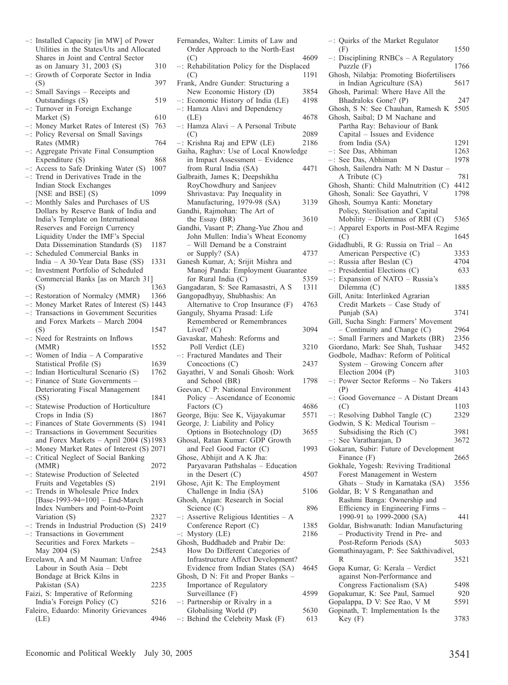|                      | -: Installed Capacity [in MW] of Power<br>Utilities in the States/Uts and Allocated                                             |      |
|----------------------|---------------------------------------------------------------------------------------------------------------------------------|------|
|                      | Shares in Joint and Central Sector                                                                                              |      |
| $\ddot{\phantom{a}}$ | as on January 31, 2003 (S)<br>Growth of Corporate Sector in India                                                               | 310  |
|                      | (S)                                                                                                                             | 397  |
| $-1$                 | Small Savings - Receipts and<br>Outstandings (S)                                                                                | 519  |
| $-1$                 | Turnover in Foreign Exchange<br>Market (S)                                                                                      | 610  |
| $-$ :                | Money Market Rates of Interest (S)                                                                                              | 763  |
|                      | -: Policy Reversal on Small Savings<br>Rates (MMR)                                                                              | 764  |
| $-$ :                | Aggregate Private Final Consumption<br>Expenditure (S)                                                                          | 868  |
|                      | Access to Safe Drinking Water (S)                                                                                               | 1007 |
|                      | -: Access to Safe Drinking Water (S<br>-: Trend in Derivatives Trade in the                                                     |      |
|                      | Indian Stock Exchanges                                                                                                          |      |
|                      | [NSE and BSE] (S)                                                                                                               | 1099 |
|                      | -: Monthly Sales and Purchases of US                                                                                            |      |
|                      | Dollars by Reserve Bank of India and                                                                                            |      |
|                      | India's Template on International                                                                                               |      |
|                      | Reserves and Foreign Currency                                                                                                   |      |
|                      | Liquidity Under the IMF's Special                                                                                               |      |
|                      | Data Dissemination Standards (S)                                                                                                | 1187 |
|                      | -: Scheduled Commercial Banks in                                                                                                |      |
|                      | India - A 30-Year Data Base (SS)                                                                                                | 1331 |
|                      | -: Investment Portfolio of Scheduled                                                                                            |      |
|                      | Commercial Banks [as on March 31]                                                                                               |      |
|                      | (S)                                                                                                                             | 1363 |
|                      |                                                                                                                                 |      |
|                      | -: Restoration of Normalcy (MMR) 1366<br>-: Money Market Rates of Interest (S) 1443<br>-: Transactions in Government Securities |      |
|                      |                                                                                                                                 |      |
|                      | and Forex Markets - March 2004                                                                                                  |      |
|                      | (S)                                                                                                                             | 1547 |
|                      | -: Need for Restraints on Inflows<br>(MMR)                                                                                      | 1552 |
|                      | : Women of India - A Comparative                                                                                                |      |
|                      | Statistical Profile (S)                                                                                                         | 1639 |
|                      | -: Indian Horticultural Scenario (S)<br>-: Finance of State Governments -                                                       | 1762 |
|                      |                                                                                                                                 |      |
|                      | Deteriorating Fiscal Management                                                                                                 |      |
|                      | (SS)                                                                                                                            | 1841 |
|                      | -: Statewise Production of Horticulture                                                                                         | 1867 |
|                      | Crops in India $(S)$                                                                                                            | 1941 |
|                      | -: Finances of State Governments (S) 19<br>-: Transactions in Government Securities                                             |      |
|                      |                                                                                                                                 |      |
|                      | and Forex Markets $-$ April 2004 (S) 1983<br>-: Money Market Rates of Interest (S) 2071                                         |      |
|                      | -: Critical Neglect of Social Banking                                                                                           |      |
|                      | (MMR)                                                                                                                           | 2072 |
|                      | -: Statewise Production of Selected                                                                                             |      |
|                      | Fruits and Vegetables (S)                                                                                                       | 2191 |
|                      | : Trends in Wholesale Price Index                                                                                               |      |
|                      | [Base-1993-94=100] - End-March                                                                                                  |      |
|                      | Index Numbers and Point-to-Point                                                                                                |      |
|                      | Variation (S)                                                                                                                   | 2327 |
|                      |                                                                                                                                 | 2419 |
|                      | -: Trends in Industrial Production (S)<br>-: Transactions in Government                                                         |      |
|                      | Securities and Forex Markets -                                                                                                  |      |
|                      | May 2004 (S)                                                                                                                    | 2543 |
|                      | Ercelawn, A and M Nauman: Unfree                                                                                                |      |
|                      | Labour in South Asia - Debt                                                                                                     |      |
|                      | Bondage at Brick Kilns in                                                                                                       |      |
|                      |                                                                                                                                 |      |
|                      |                                                                                                                                 |      |
|                      | Pakistan (SA)                                                                                                                   | 2235 |
|                      | Faizi, S: Imperative of Reforming                                                                                               | 5216 |
|                      | India's Foreign Policy (C)                                                                                                      |      |
|                      | Faleiro, Eduardo: Minority Grievances<br>(LE)                                                                                   | 4946 |

| Fernandes, Walter: Limits of Law and                            |              |
|-----------------------------------------------------------------|--------------|
| Order Approach to the North-East                                | 4609         |
| (C)<br>Rehabilitation Policy for the Displaced<br>$-$ :         |              |
| (C)                                                             | 1191         |
| Frank, Andre Gunder: Structuring a                              |              |
| New Economic History (D)                                        | 3854         |
| -: Economic History of India (LE)                               | 4198         |
| -: Hamza Alavi and Dependency                                   |              |
| (LE)                                                            | 4678         |
| -: Hamza Alavi - A Personal Tribute                             |              |
| (C)<br>$-$ : Krishna Raj and EPW (LE)                           | 2089<br>2186 |
| Gaiha, Raghav: Use of Local Knowledge                           |              |
| in Impact Assessment - Evidence                                 |              |
| from Rural India (SA)                                           | 4471         |
| Galbraith, James K; Deepshikha                                  |              |
| RoyChowdhury and Sanjeev                                        |              |
| Shrivastava: Pay Inequality in                                  |              |
| Manufacturing, 1979-98 (SA)                                     | 3139         |
| Gandhi, Rajmohan: The Art of                                    |              |
| the Essay (BR)                                                  | 3610         |
| Gandhi, Vasant P; Zhang-Yue Zhou and                            |              |
| John Mullen: India's Wheat Economy                              |              |
| - Will Demand be a Constraint<br>or Supply? (SA)                | 4737         |
| Ganesh Kumar, A; Srijit Mishra and                              |              |
| Manoj Panda: Employment Guarantee                               |              |
| for Rural India (C)                                             | 5359         |
| Gangadaran, S: See Ramasastri, A S                              | 1311         |
| Gangopadhyay, Shubhashis: An                                    |              |
| Alternative to Crop Insurance (F)                               | 4763         |
| Ganguly, Shyama Prasad: Life                                    |              |
| Remembered or Remembrances                                      |              |
| Lived? $(C)$                                                    | 3094         |
| Gavaskar, Mahesh: Reforms and<br>Poll Verdict (LE)              | 3210         |
| -: Fractured Mandates and Their                                 |              |
| Concoctions (C)                                                 | 2437         |
| Gayathri, V and Sonali Ghosh: Work                              |              |
| and School (BR)                                                 | 1798         |
| Geevan, C P: National Environment                               |              |
| Policy - Ascendance of Economic                                 |              |
| Factors $(C)$                                                   | 4686         |
| George, Biju: See K, Vijayakumar                                | 5571         |
| George, J: Liability and Policy<br>Options in Biotechnology (D) | 3655         |
| Ghosal, Ratan Kumar: GDP Growth                                 |              |
| and Feel Good Factor (C)                                        | 1993         |
| Ghose, Abhijit and A K Jha:                                     |              |
| Paryavaran Pathshalas - Education                               |              |
| in the Desert $(C)$                                             | 4507         |
| Ghose, Ajit K: The Employment                                   |              |
| Challenge in India (SA)                                         | 5106         |
| Ghosh, Anjan: Research in Social                                |              |
| Science (C)                                                     | 896          |
| -: Assertive Religious Identities - A<br>Conference Report (C)  | 1385         |
| Mystory (LE)<br>$-1$                                            | 2186         |
| Ghosh, Buddhadeb and Prabir De:                                 |              |
| How Do Different Categories of                                  |              |
| Infrastructure Affect Development?                              |              |
| Evidence from Indian States (SA)                                | 4645         |
| Ghosh, D N: Fit and Proper Banks -                              |              |
| Importance of Regulatory                                        |              |
| Surveillance (F)                                                | 4599         |
| -: Partnership or Rivalry in a                                  |              |
| Globalising World (P)<br>-: Behind the Celebrity Mask (F)       | 5630         |
|                                                                 | 613          |

| -: Quirks of the Market Regulator             |      |
|-----------------------------------------------|------|
| (F)                                           | 1550 |
| -: Disciplining RNBCs - A Regulatory          |      |
| Puzzle $(F)$                                  | 1766 |
| Ghosh, Nilabja: Promoting Biofertilisers      |      |
| in Indian Agriculture (SA)                    | 5617 |
| Ghosh, Parimal: Where Have All the            |      |
|                                               |      |
| Bhadraloks Gone? (P)                          | 247  |
| Ghosh, S N: See Chauhan, Ramesh K             | 5505 |
| Ghosh, Saibal; D M Nachane and                |      |
| Partha Ray: Behaviour of Bank                 |      |
| Capital - Issues and Evidence                 |      |
| from India (SA)                               | 1291 |
| -: See Das, Abhiman                           | 1263 |
| -: See Das, Abhiman                           | 1978 |
|                                               |      |
| Ghosh, Sailendra Nath: M N Dastur -           |      |
| A Tribute $(C)$                               | 781  |
| Ghosh, Shanti: Child Malnutrition (C)         | 4412 |
| Ghosh, Sonali: See Gayathri, V                | 1798 |
| Ghosh, Soumya Kanti: Monetary                 |      |
| Policy, Sterilisation and Capital             |      |
| Mobility - Dilemmas of RBI (C)                | 5365 |
|                                               |      |
| -: Apparel Exports in Post-MFA Regime         |      |
| (C)                                           | 1645 |
| Gidadhubli, R G: Russia on Trial - An         |      |
| American Perspective (C)                      | 3353 |
| -: Russia after Beslan (C)                    | 4704 |
| $-$ : Presidential Elections (C)              | 633  |
| -: Expansion of NATO - Russia's               |      |
| Dilemma (C)                                   | 1885 |
| Gill, Anita: Interlinked Agrarian             |      |
|                                               |      |
| Credit Markets - Case Study of                |      |
| Punjab (SA)                                   | 3741 |
| Gill, Sucha Singh: Farmers' Movement          |      |
| - Continuity and Change (C)                   | 2964 |
| -: Small Farmers and Markets (BR)             | 2356 |
| Giordano, Mark: See Shah, Tushaar             | 3452 |
| Godbole, Madhav: Reform of Political          |      |
|                                               |      |
| System - Growing Concern after                |      |
| Election 2004 (P)                             |      |
|                                               | 3103 |
| -: Power Sector Reforms - No Takers           |      |
| (P)                                           | 4143 |
|                                               |      |
| -: Good Governance - A Distant Dream          |      |
| (C)                                           | 1103 |
| Resolving Dabhol Tangle (C)                   | 2329 |
| Godwin, S K: Medical Tourism -                |      |
| Subsidising the Rich (C)                      | 3981 |
| -: See Varatharajan, D                        | 3672 |
| Gokaran, Subir: Future of Development         |      |
|                                               | 2665 |
| Finance (F)                                   |      |
| Gokhale, Yogesh: Reviving Traditional         |      |
| Forest Management in Western                  |      |
| Ghats - Study in Karnataka (SA)               | 3556 |
| Goldar, B; V S Renganathan and                |      |
| Rashmi Banga: Ownership and                   |      |
| Efficiency in Engineering Firms -             |      |
|                                               | 441  |
| 1990-91 to 1999-2000 (SA)                     |      |
| Goldar, Bishwanath: Indian Manufacturing      |      |
| - Productivity Trend in Pre- and              |      |
| Post-Reform Periods (SA)                      | 5033 |
| Gomathinayagam, P: See Sakthivadivel,         |      |
| R                                             | 3521 |
| Gopa Kumar, G: Kerala - Verdict               |      |
| against Non-Performance and                   |      |
|                                               | 5498 |
| Congress Factionalism (SA)                    |      |
| Gopakumar, K: See Paul, Samuel                | 920  |
| Gopalappa, D V: See Rao, V M                  | 5591 |
| Gopinath, T: Implementation Is the<br>Key (F) | 3783 |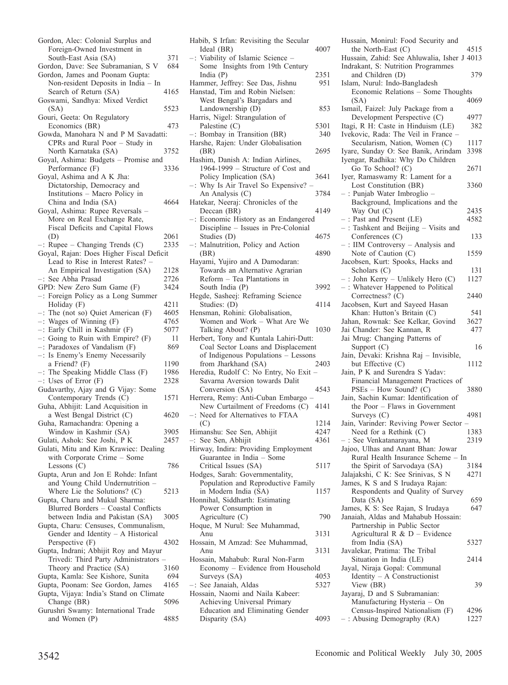| Gordon, Alec: Colonial Surplus and                                                                  |      |
|-----------------------------------------------------------------------------------------------------|------|
| Foreign-Owned Investment in                                                                         |      |
| South-East Asia (SA)                                                                                | 371  |
| Gordon, Dave: See Subramanian, S V                                                                  | 684  |
| Gordon, James and Poonam Gupta:                                                                     |      |
| Non-resident Deposits in India - In                                                                 |      |
| Search of Return (SA)                                                                               | 4165 |
| Goswami, Sandhya: Mixed Verdict                                                                     |      |
|                                                                                                     | 5523 |
| (SA)                                                                                                |      |
| Gouri, Geeta: On Regulatory                                                                         |      |
| Economics (BR)                                                                                      | 473  |
| Gowda, Manohara N and P M Savadatti:                                                                |      |
| CPRs and Rural Poor - Study in                                                                      |      |
| North Karnataka (SA)                                                                                | 3752 |
| Goyal, Ashima: Budgets - Promise and                                                                |      |
| Performance (F)                                                                                     | 3336 |
| Goyal, Ashima and A K Jha:                                                                          |      |
| Dictatorship, Democracy and                                                                         |      |
| Institutions - Macro Policy in                                                                      |      |
|                                                                                                     | 4664 |
| China and India (SA)                                                                                |      |
| Goyal, Ashima: Rupee Reversals -                                                                    |      |
| More on Real Exchange Rate,                                                                         |      |
| Fiscal Deficits and Capital Flows                                                                   |      |
| (D)                                                                                                 | 2061 |
| Rupee – Changing Trends (C)<br>$-$ :                                                                | 2335 |
| Goyal, Rajan: Does Higher Fiscal Deficit                                                            |      |
| Lead to Rise in Interest Rates? -                                                                   |      |
| An Empirical Investigation (SA)                                                                     | 2128 |
|                                                                                                     |      |
| -: See Abha Prasad                                                                                  | 2726 |
| GPD: New Zero Sum Game (F)                                                                          | 3424 |
| Foreign Policy as a Long Summer<br>$-$ :                                                            |      |
| Holiday (F)                                                                                         | 4211 |
| $-$ : The (not so) Quiet American (F)                                                               | 4605 |
|                                                                                                     |      |
|                                                                                                     |      |
| $-$ : Wages of Winning (F)                                                                          | 4765 |
|                                                                                                     | 5077 |
|                                                                                                     | 11   |
| -: Early Chill in Kashmir (F)<br>-: Going to Ruin with Empire? (F)<br>-: Paradoxes of Vandalism (F) | 869  |
| $-$ :<br>Is Enemy's Enemy Necessarily                                                               |      |
| a Friend? (F)                                                                                       | 1190 |
| The Speaking Middle Class (F)                                                                       | 1986 |
| -: The Speaking Mi<br>-: Uses of Error (F)                                                          | 2328 |
| Gudavarthy, Ajay and G Vijay: Some                                                                  |      |
|                                                                                                     | 1571 |
| Contemporary Trends (C)                                                                             |      |
| Guha, Abhijit: Land Acquisition in                                                                  |      |
| a West Bengal District (C)                                                                          | 4620 |
| Guha, Ramachandra: Opening a                                                                        |      |
| Window in Kashmir (SA)                                                                              | 3905 |
| Gulati, Ashok: See Joshi, P K                                                                       | 2457 |
| Gulati, Mitu and Kim Krawiec: Dealing                                                               |      |
| with Corporate Crime - Some                                                                         |      |
| Lessons $(C)$                                                                                       | 786  |
| Gupta, Arun and Jon E Rohde: Infant                                                                 |      |
|                                                                                                     |      |
| and Young Child Undernutrition -                                                                    |      |
| Where Lie the Solutions? (C)                                                                        | 5213 |
| Gupta, Charu and Mukul Sharma:                                                                      |      |
| Blurred Borders - Coastal Conflicts                                                                 |      |
| between India and Pakistan (SA)                                                                     | 3005 |
| Gupta, Charu: Censuses, Communalism,                                                                |      |
| Gender and Identity - A Historical                                                                  |      |
| Perspective (F)                                                                                     | 4302 |
| Gupta, Indrani; Abhijit Roy and Mayur                                                               |      |
|                                                                                                     |      |
| Trivedi: Third Party Administrators                                                                 | 3160 |
| Theory and Practice (SA)                                                                            | 694  |
| Gupta, Kamla: See Kishore, Sunita                                                                   |      |
| Gupta, Poonam: See Gordon, James                                                                    | 4165 |
| Gupta, Vijaya: India's Stand on Climate                                                             |      |
| Change (BR)                                                                                         | 5096 |
| Gurushri Swamy: International Trade<br>and Women (P)                                                | 4885 |

| Habib, S Irfan: Revisiting the Secular |      |
|----------------------------------------|------|
| Ideal (BR)                             | 4007 |
| -: Viability of Islamic Science -      |      |
| Some Insights from 19th Century        |      |
| India $(P)$                            | 2351 |
| Hammer, Jeffrey: See Das, Jishnu       | 951  |
| Hanstad, Tim and Robin Nielsen:        |      |
| West Bengal's Bargadars and            |      |
| Landownership (D)                      | 853  |
| Harris, Nigel: Strangulation of        |      |
| Palestine (C)                          | 5301 |
| -: Bombay in Transition (BR)           | 340  |
| Harshe, Rajen: Under Globalisation     |      |
| (BR)                                   | 2695 |
| Hashim, Danish A: Indian Airlines,     |      |
| 1964-1999 - Structure of Cost and      |      |
| Policy Implication (SA)                | 3641 |
|                                        |      |
| -: Why Is Air Travel So Expensive?     |      |
| An Analysis (C)                        | 3784 |
| Hatekar, Neeraj: Chronicles of the     |      |
| Deccan (BR)                            | 4149 |
| -: Economic History as an Endangered   |      |
| Discipline - Issues in Pre-Colonial    |      |
| Studies (D)                            | 4675 |
| -: Malnutrition, Policy and Action     |      |
| (BR)                                   | 4890 |
| Hayami, Yujiro and A Damodaran:        |      |
| Towards an Alternative Agrarian        |      |
| Reform - Tea Plantations in            |      |
| South India (P)                        | 3992 |
| Hegde, Sasheej: Reframing Science      |      |
| Studies: (D)                           | 4114 |
| Hensman, Rohini: Globalisation,        |      |
| Women and Work - What Are We           |      |
|                                        |      |
|                                        |      |
| Talking About? (P)                     | 1030 |
| Herbert, Tony and Kuntala Lahiri-Dutt: |      |
| Coal Sector Loans and Displacement     |      |
| of Indigenous Populations - Lessons    |      |
| from Jharkhand (SA)                    | 2403 |
| Heredia, Rudolf C: No Entry, No Exit - |      |
| Savarna Aversion towards Dalit         |      |
| Conversion (SA)                        | 4543 |
| Herrera, Remy: Anti-Cuban Embargo      |      |
| New Curtailment of Freedoms (C)        | 4141 |
| -: Need for Alternatives to FTAA       |      |
| (C)                                    | 1214 |
|                                        | 4247 |
| Himanshu: See Sen, Abhijit             | 4361 |
| -: See Sen, Abhijit                    |      |
| Hirway, Indira: Providing Employment   |      |
| Guarantee in India - Some              |      |
| Critical Issues (SA)                   | 5117 |
| Hodges, Sarah: Governmentality,        |      |
| Population and Reproductive Family     |      |
| in Modern India (SA)                   | 1157 |
| Honnihal, Siddharth: Estimating        |      |
| Power Consumption in                   |      |
| Agriculture (C)                        | 790  |
| Hoque, M Nurul: See Muhammad,          |      |
| Anu                                    | 3131 |
| Hossain, M Amzad: See Muhammad,        |      |
| Anu                                    | 3131 |
| Hossain, Mahabub: Rural Non-Farm       |      |
| Economy - Evidence from Household      |      |
| Surveys (SA)                           | 4053 |
| -: See Janaiah, Aldas                  | 5327 |
| Hossain, Naomi and Naila Kabeer:       |      |
| Achieving Universal Primary            |      |
| Education and Eliminating Gender       |      |
| Disparity (SA)                         | 4093 |

| Hussain, Monirul: Food Security and                              |              |
|------------------------------------------------------------------|--------------|
| the North-East (C)                                               | 4515         |
| Hussain, Zahid: See Ahluwalia, Isher J 4013                      |              |
| Indrakant, S: Nutrition Programmes                               |              |
| and Children (D)                                                 | 379          |
| Islam, Nurul: Indo-Bangladesh                                    |              |
| Economic Relations - Some Thoughts                               |              |
| (SA)                                                             | 4069         |
| Ismail, Faizel: July Package from a                              |              |
| Development Perspective (C)                                      | 4977         |
| Itagi, R H: Caste in Hinduism (LE)                               | 382          |
| Ivekovic, Rada: The Veil in France -                             |              |
| Secularism, Nation, Women (C)                                    | 1117         |
| Iyare, Sunday O: See Banik, Arindam                              | 3398         |
|                                                                  |              |
| Iyengar, Radhika: Why Do Children                                |              |
| Go To School? (C)                                                | 2671         |
| Iyer, Ramaswamy R: Lament for a                                  |              |
| Lost Constitution (BR)                                           | 3360         |
| - : Punjab Water Imbroglio -                                     |              |
| Background, Implications and the                                 |              |
| Way Out $(C)$                                                    | 2435         |
| -: Past and Present (LE)                                         | 4582         |
| $-$ : Tashkent and Beijing $-$ Visits and                        |              |
| Conferences (C)                                                  | 133          |
| : IIM Controversy - Analysis and                                 |              |
| Note of Caution (C)                                              | 1559         |
| Jacobsen, Kurt: Spooks, Hacks and                                |              |
| Scholars (C)                                                     | 131          |
| -: John Kerry - Unlikely Hero (C)                                | 1127         |
|                                                                  |              |
| -: Whatever Happened to Political                                |              |
| Correctness? (C)                                                 | 2440         |
| Jacobsen, Kurt and Sayeed Hasan                                  |              |
| Khan: Hutton's Britain (C)                                       | 541          |
| Jahan, Rownak: See Kelkar, Govind                                | 3627         |
| Jai Chander: See Kannan, R                                       | 477          |
| Jai Mrug: Changing Patterns of                                   |              |
| Support (C)                                                      | 16           |
| Jain, Devaki: Krishna Raj - Invisible,                           |              |
| but Effective (C)                                                | 1112         |
| Jain, P K and Surendra S Yadav:                                  |              |
| Financial Management Practices of                                |              |
| PSEs - How Sound? (C)                                            | 3880         |
| Jain, Sachin Kumar: Identification of                            |              |
| the Poor - Flaws in Government                                   |              |
| Surveys (C)                                                      | 4981         |
| Jain, Varinder: Reviving Power Sector -                          |              |
| Need for a Rethink $(C)$                                         | 1383         |
| -: See Venkatanarayana, M                                        | 2319         |
| Jajoo, Ulhas and Anant Bhan: Jowar                               |              |
|                                                                  |              |
| Rural Health Insurance Scheme - In                               |              |
| the Spirit of Sarvodaya (SA)                                     | 3184         |
| Jalajakshi, C K: See Srinivas, S N                               | 4271         |
| James, K S and S Irudaya Rajan:                                  |              |
| Respondents and Quality of Survey                                |              |
| Data (SA)                                                        |              |
| James, K S: See Rajan, S Irudaya                                 | 659          |
|                                                                  | 647          |
| Janaiah, Aldas and Mahabub Hossain:                              |              |
| Partnership in Public Sector                                     |              |
|                                                                  |              |
| Agricultural R & D - Evidence                                    |              |
| from India (SA)                                                  | 5327         |
| Javalekar, Pratima: The Tribal                                   | 2414         |
| Situation in India (LE)                                          |              |
| Jayal, Niraja Gopal: Communal                                    |              |
| Identity - A Constructionist                                     |              |
| View (BR)                                                        | 39           |
| Jayaraj, D and S Subramanian:                                    |              |
| Manufacturing Hysteria - On                                      |              |
| Census-Inspired Nationalism (F)<br>$-$ : Abusing Demography (RA) | 4296<br>1227 |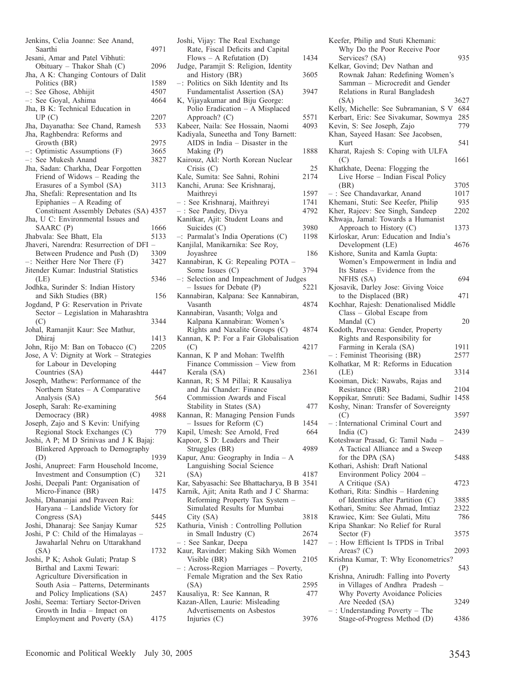| Jenkins, Celia Joanne: See Anand,                                         |             |
|---------------------------------------------------------------------------|-------------|
| Saarthi                                                                   | 4971        |
| Jesani, Amar and Patel Vibhuti:                                           |             |
| Obituary - Thakor Shah (C)                                                | 2096        |
| Jha, A K: Changing Contours of Dalit                                      |             |
| Politics (BR)                                                             | 1589        |
| -: See Ghose, Abhijit                                                     | 4507        |
| -: See Goyal, Ashima                                                      | 4664        |
| Jha, B K: Technical Education in                                          |             |
| UP(C)                                                                     | 2207<br>533 |
| Jha, Dayanatha: See Chand, Ramesh<br>Jha, Raghbendra: Reforms and         |             |
| Growth (BR)                                                               | 2975        |
| -: Optimistic Assumptions (F)                                             | 3665        |
| -: See Mukesh Anand                                                       | 3827        |
| Jha, Sadan: Charkha, Dear Forgotten                                       |             |
| Friend of Widows - Reading the                                            |             |
| Erasures of a Symbol (SA)                                                 | 3113        |
| Jha, Shefali: Representation and Its                                      |             |
| Epiphanies - A Reading of                                                 |             |
| Constituent Assembly Debates (SA) 4357                                    |             |
| Jha, U C: Environmental Issues and                                        |             |
| SAARC (P)                                                                 | 1666        |
| Jhabvala: See Bhatt, Ela                                                  | 5133        |
| Jhaveri, Narendra: Resurrection of DFI -                                  |             |
| Between Prudence and Push (D)                                             | 3309        |
| $-$ : Neither Here Nor There (F)<br>Jitender Kumar: Industrial Statistics | 3427        |
| (LE)                                                                      | 5346        |
| Jodhka, Surinder S: Indian History                                        |             |
| and Sikh Studies (BR)                                                     | 156         |
| Jogdand, P G: Reservation in Private                                      |             |
| Sector - Legislation in Maharashtra                                       |             |
| (C)                                                                       | 3344        |
| Johal, Ramanjit Kaur: See Mathur,                                         |             |
| Dhiraj                                                                    | 1413        |
| John, Rijo M: Ban on Tobacco (C)                                          | 2205        |
| Jose, A V: Dignity at Work - Strategies                                   |             |
| for Labour in Developing                                                  |             |
| Countries (SA)                                                            | 4447        |
| Joseph, Mathew: Performance of the                                        |             |
| Northern States - A Comparative                                           |             |
| Analysis (SA)                                                             | 564         |
| Joseph, Sarah: Re-examining                                               | 4988        |
| Democracy (BR)<br>Joseph, Zajo and S Kevin: Unifying                      |             |
| Regional Stock Exchanges (C)                                              | 779         |
| Joshi, A P; M D Srinivas and J K Bajaj:                                   |             |
| Blinkered Approach to Demography                                          |             |
| (D)                                                                       | 1939        |
| Joshi, Anupreet: Farm Household Income,                                   |             |
| Investment and Consumption (C)                                            | 321         |
| Joshi, Deepali Pant: Organisation of                                      |             |
| Micro-Finance (BR)                                                        | 1475        |
| Joshi, Dhananjai and Praveen Rai:                                         |             |
| Haryana - Landslide Victory for                                           |             |
| Congress (SA)                                                             | 5445        |
| Joshi, Dhanaraj: See Sanjay Kumar                                         | 525         |
| Joshi, P C: Child of the Himalayas -                                      |             |
| Jawaharlal Nehru on Uttarakhand<br>(SA)                                   |             |
| Joshi, P K; Ashok Gulati; Pratap S                                        |             |
| Birthal and Laxmi Tewari:                                                 | 1732        |
| Agriculture Diversification in                                            |             |
|                                                                           |             |
|                                                                           |             |
| South Asia - Patterns, Determinants                                       | 2457        |
| and Policy Implications (SA)                                              |             |
| Joshi, Seema: Tertiary Sector-Driven<br>Growth in India - Impact on       |             |
| Employment and Poverty (SA)                                               | 4175        |

| Joshi, Vijay: The Real Exchange                                             |              |
|-----------------------------------------------------------------------------|--------------|
| Rate, Fiscal Deficits and Capital<br>Flows – A Refutation (D)               | 1434         |
| Judge, Paramjit S: Religion, Identity                                       |              |
| and History (BR)<br>-: Politics on Sikh Identity and Its                    | 3605         |
| Fundamentalist Assertion (SA)                                               | 3947         |
| K, Vijayakumar and Biju George:                                             |              |
| Polio Eradication - A Misplaced<br>Approach? (C)                            | 5571         |
| Kabeer, Naila: See Hossain, Naomi                                           | 4093         |
| Kadiyala, Suneetha and Tony Barnett:<br>AIDS in India - Disaster in the     |              |
| Making (P)                                                                  | 1888         |
| Kairouz, Akl: North Korean Nuclear<br>Crisis(C)                             | 25           |
| Kale, Sumita: See Sahni, Rohini                                             | 2174         |
| Kanchi, Aruna: See Krishnaraj,                                              |              |
| Maithreyi<br>- : See Krishnaraj, Maithreyi                                  | 1597<br>1741 |
| : See Pandey, Divya                                                         | 4792         |
| Kanitkar, Ajit: Student Loans and                                           |              |
| Suicides (C)<br>-: Parmalat's India Operations (C)                          | 3980<br>1198 |
| Kanjilal, Manikarnika: See Roy,                                             |              |
| Joyashree                                                                   | 186          |
| Kannabiran, K G: Repealing POTA -<br>Some Issues (C)                        | 3794         |
| Selection and Impeachment of Judges<br>$-$ :                                |              |
| - Issues for Debate (P)<br>Kannabiran, Kalpana: See Kannabiran,             | 5221         |
| Vasanth                                                                     | 4874         |
| Kannabiran, Vasanth; Volga and<br>Kalpana Kannabiran: Women's               |              |
| Rights and Naxalite Groups (C)                                              | 4874         |
| Kannan, K P: For a Fair Globalisation                                       |              |
| (C)<br>Kannan, K P and Mohan: Twelfth                                       | 4217         |
| Finance Commission - View from                                              |              |
| Kerala (SA)<br>Kannan, R; S M Pillai; R Kausaliya                           | 2361         |
| and Jai Chander: Finance                                                    |              |
| Commission Awards and Fiscal                                                | 477          |
| Stability in States (SA)<br>Kannan, R: Managing Pension Funds               |              |
| $-$ Issues for Reform $(C)$                                                 | 1454         |
| Kapil, Umesh: See Arnold, Fred<br>Kapoor, S D: Leaders and Their            | 664          |
| Struggles (BR)                                                              | 4989         |
| Kapur, Anu: Geography in India - A                                          |              |
| Languishing Social Science<br>(SA)                                          | 4187         |
| Kar, Sabyasachi: See Bhattacharya, B B 3541                                 |              |
| Karnik, Ajit; Anita Rath and J C Sharma:<br>Reforming Property Tax System - |              |
| Simulated Results for Mumbai                                                |              |
| City (SA)                                                                   | 3818         |
| Kathuria, Vinish: Controlling Pollution<br>in Small Industry (C)            | 2674         |
| : See Sankar, Deepa                                                         | 1427         |
| Kaur, Ravinder: Making Sikh Women                                           |              |
| Visible (BR)<br>-: Across-Region Marriages - Poverty,                       | 2105         |
| Female Migration and the Sex Ratio                                          |              |
| (SA)<br>Kausaliya, R: See Kannan, R                                         | 2595<br>477  |
| Kazan-Allen, Laurie: Misleading                                             |              |
| Advertisements on Asbestos                                                  |              |
| Injuries $(C)$                                                              | 3976         |

| Keefer, Philip and Stuti Khemani:                                         |      |
|---------------------------------------------------------------------------|------|
| Why Do the Poor Receive Poor                                              |      |
| Services? (SA)                                                            | 935  |
| Kelkar, Govind; Dev Nathan and                                            |      |
| Rownak Jahan: Redefining Women's                                          |      |
| Samman - Microcredit and Gender                                           |      |
| Relations in Rural Bangladesh                                             |      |
| (SA)                                                                      | 3627 |
| Kelly, Michelle: See Subramanian, S V                                     | 684  |
| Kerbart, Eric: See Sivakumar, Sowmya                                      | 285  |
| Kevin, S: See Joseph, Zajo                                                | 779  |
| Khan, Sayeed Hasan: See Jacobsen,                                         |      |
| Kurt                                                                      | 541  |
| Kharat, Rajesh S: Coping with ULFA                                        |      |
| (C)                                                                       | 1661 |
| Khatkhate, Deena: Flogging the                                            |      |
| Live Horse - Indian Fiscal Policy                                         |      |
| (BR)                                                                      | 3705 |
| -: See Chandavarkar, Anand                                                | 1017 |
| Khemani, Stuti: See Keefer, Philip                                        | 935  |
| Kher, Rajeev: See Singh, Sandeep                                          | 2202 |
| Khwaja, Jamal: Towards a Humanist                                         |      |
| Approach to History (C)                                                   |      |
|                                                                           | 1373 |
| Kirloskar, Arun: Education and India's                                    |      |
| Development (LE)                                                          | 4676 |
| Kishore, Sunita and Kamla Gupta:                                          |      |
| Women's Empowerment in India and                                          |      |
| Its States - Evidence from the                                            |      |
| NFHS (SA)                                                                 | 694  |
| Kjosavik, Darley Jose: Giving Voice                                       |      |
| to the Displaced (BR)                                                     | 471  |
| Kochhar, Rajesh: Denationalised Middle                                    |      |
| Class - Global Escape from                                                |      |
| Mandal $(C)$                                                              | 20   |
| Kodoth, Praveena: Gender, Property                                        |      |
| Rights and Responsibility for                                             |      |
| Farming in Kerala (SA)                                                    | 1911 |
| $-$ : Feminist Theorising (BR)                                            | 2577 |
| Kolhatkar, M R: Reforms in Education                                      |      |
| (LE)                                                                      | 3314 |
| Kooiman, Dick: Nawabs, Rajas and                                          |      |
| Resistance (BR)                                                           | 2104 |
| Koppikar, Smruti: See Badami, Sudhir 1458                                 |      |
| Koshy, Ninan: Transfer of Sovereignty                                     |      |
| (C)                                                                       | 3597 |
| -: International Criminal Court and                                       |      |
| India $(C)$                                                               | 2439 |
| Koteshwar Prasad, G: Tamil Nadu -                                         |      |
| A Tactical Alliance and a Sweep                                           |      |
| for the DPA (SA)                                                          | 5488 |
| Kothari, Ashish: Draft National                                           |      |
| Environment Policy 2004 -                                                 |      |
| A Critique (SA)                                                           | 4723 |
| Kothari, Rita: Sindhis - Hardening                                        |      |
| of Identities after Partition (C)                                         | 3885 |
| Kothari, Smitu: See Ahmad, Imtiaz                                         | 2322 |
|                                                                           | 786  |
| Krawiec, Kim: See Gulati, Mitu<br>Kripa Shankar: No Relief for Rural      |      |
| Sector $(F)$                                                              | 3575 |
| -: How Efficient Is TPDS in Tribal                                        |      |
| Areas? (C)                                                                | 2093 |
| Krishna Kumar, T: Why Econometrics?                                       |      |
| (P)                                                                       | 543  |
|                                                                           |      |
| Krishna, Anirudh: Falling into Poverty<br>in Villages of Andhra Pradesh - |      |
| Why Poverty Avoidance Policies                                            |      |
|                                                                           |      |
| Are Needed (SA)                                                           | 3249 |
| $-$ : Understanding Poverty - The<br>Stage-of-Progress Method (D)         | 4386 |
|                                                                           |      |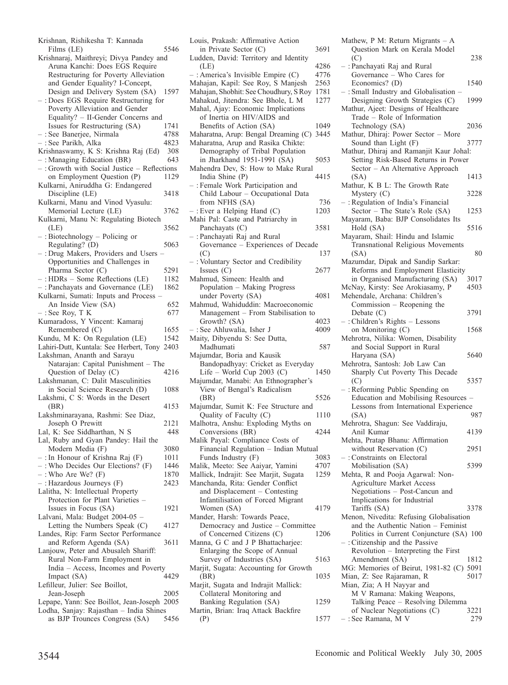| Krishnan, Rishikesha T: Kannada                                          |      |
|--------------------------------------------------------------------------|------|
| Films (LE)                                                               | 5546 |
| Krishnaraj, Maithreyi; Divya Pandey and                                  |      |
| Aruna Kanchi: Does EGS Require                                           |      |
| Restructuring for Poverty Alleviation                                    |      |
| and Gender Equality? I-Concept,                                          |      |
| Design and Delivery System (SA)                                          | 1597 |
| : Does EGS Require Restructuring for                                     |      |
| Poverty Alleviation and Gender                                           |      |
|                                                                          |      |
| Equality? - II-Gender Concerns and                                       |      |
| Issues for Restructuring (SA)                                            | 1741 |
| - : See Banerjee, Nirmala                                                | 4788 |
| – : See Parikh, Alka                                                     | 4823 |
| Krishnaswamy, K S: Krishna Raj (Ed)                                      | 308  |
| -: Managing Education (BR)                                               | 643  |
| -: Growth with Social Justice - Reflections                              |      |
| on Employment Question (P)                                               | 1129 |
| Kulkarni, Aniruddha G: Endangered                                        |      |
| Discipline (LE)                                                          | 3418 |
| Kulkarni, Manu and Vinod Vyasulu:                                        |      |
|                                                                          |      |
| Memorial Lecture (LE)                                                    | 3762 |
| Kulkarni, Manu N: Regulating Biotech                                     |      |
| (LE)                                                                     | 3562 |
| : Biotechnology - Policing or                                            |      |
| Regulating? (D)                                                          | 5063 |
| -: Drug Makers, Providers and Users                                      |      |
| Opportunities and Challenges in                                          |      |
| Pharma Sector (C)                                                        | 5291 |
|                                                                          | 1182 |
| - : HDRs - Some Reflections (LE)<br>- : Panchayats and Governance (LE)   | 1862 |
|                                                                          |      |
| Kulkarni, Sumati: Inputs and Process                                     |      |
| An Inside View (SA)                                                      | 652  |
| : See Roy, T K                                                           | 677  |
| Kumaradoss, Y Vincent: Kamaraj                                           |      |
| Remembered (C)                                                           |      |
|                                                                          | 1655 |
|                                                                          | 1542 |
| Kundu, M K: On Regulation (LE)                                           |      |
| Lahiri-Dutt, Kuntala: See Herbert, Tony 2403                             |      |
| Lakshman, Ananth and Sarayu                                              |      |
| Natarajan: Capital Punishment - The                                      |      |
| Question of Delay (C)                                                    | 4216 |
| Lakshmanan, C: Dalit Masculinities                                       |      |
| in Social Science Research (D)                                           | 1088 |
| Lakshmi, C S: Words in the Desert                                        |      |
| (BR)                                                                     | 4153 |
| Lakshminarayana, Rashmi: See Diaz,                                       |      |
| Joseph O Prewitt                                                         | 2121 |
| Lal, K: See Siddharthan, N S                                             | 448  |
|                                                                          |      |
| Lal, Ruby and Gyan Pandey: Hail the                                      |      |
| Modern Media (F)                                                         | 3080 |
|                                                                          | 1011 |
| $-$ : In Honour of Krishna Raj (F)                                       | 1446 |
| - : Who Decides Our Elections? (F)<br>- : Who Are We? (F)                | 1870 |
| -: Hazardous Journeys (F)                                                | 2423 |
| Lalitha, N: Intellectual Property                                        |      |
| Protection for Plant Varieties -                                         |      |
| Issues in Focus (SA)                                                     | 1921 |
| Lalvani, Mala: Budget 2004-05 -                                          |      |
| Letting the Numbers Speak (C)                                            | 4127 |
|                                                                          |      |
| Landes, Rip: Farm Sector Performance                                     |      |
| and Reform Agenda (SA)                                                   | 3611 |
| Lanjouw, Peter and Abusaleh Shariff:                                     |      |
| Rural Non-Farm Employment in                                             |      |
| India - Access, Incomes and Poverty                                      |      |
| Impact (SA)                                                              | 4429 |
| Lefilleur, Julier: See Boillot,                                          |      |
| Jean-Joseph                                                              | 2005 |
| Lepape, Yann: See Boillot, Jean-Joseph 2005                              |      |
| Lodha, Sanjay: Rajasthan - India Shines<br>as BJP Trounces Congress (SA) | 5456 |

| Louis, Prakash: Affirmative Action                             |      |
|----------------------------------------------------------------|------|
|                                                                |      |
| in Private Sector (C)                                          | 3691 |
| Ludden, David: Territory and Identity                          |      |
| (LE)                                                           | 4286 |
| -: America's Invisible Empire (C)                              | 4776 |
| Mahajan, Kapil: See Roy, S Manjesh                             | 2563 |
| Mahajan, Shobhit: See Choudhury, S Roy                         | 1781 |
|                                                                | 1277 |
| Mahakud, Jitendra: See Bhole, L M                              |      |
| Mahal, Ajay: Economic Implications                             |      |
| of Inertia on HIV/AIDS and                                     |      |
| Benefits of Action (SA)                                        | 1049 |
| Maharatna, Arup: Bengal Dreaming (C)                           | 3445 |
| Maharatna, Arup and Rasika Chikte:                             |      |
| Demography of Tribal Population                                |      |
|                                                                |      |
| in Jharkhand 1951-1991 (SA)                                    | 5053 |
| Mahendra Dev, S: How to Make Rural                             |      |
| India Shine (P)                                                | 4415 |
| -: Female Work Participation and                               |      |
| Child Labour - Occupational Data                               |      |
| from NFHS (SA)                                                 | 736  |
|                                                                |      |
| $-$ : Ever a Helping Hand (C)                                  | 1203 |
| Mahi Pal: Caste and Patriarchy in                              |      |
| Panchayats (C)                                                 | 3581 |
| : Panchayati Raj and Rural                                     |      |
| Governance - Experiences of Decade                             |      |
|                                                                |      |
| (C)                                                            | 137  |
| -: Voluntary Sector and Credibility                            |      |
| Issues $(C)$                                                   | 2677 |
| Mahmud, Simeen: Health and                                     |      |
| Population - Making Progress                                   |      |
|                                                                | 4081 |
| under Poverty (SA)                                             |      |
| Mahmud, Wahiduddin: Macroeconomic                              |      |
| Management - From Stabilisation to                             |      |
|                                                                |      |
| Growth? (SA)                                                   | 4023 |
|                                                                | 4009 |
| : See Ahluwalia, Isher J                                       |      |
| Maity, Dibyendu S: See Dutta,                                  |      |
| Madhumati                                                      | 587  |
| Majumdar, Boria and Kausik                                     |      |
| Bandopadhyay: Cricket as Everyday                              |      |
| Life - World Cup 2003 $(C)$                                    | 1450 |
| Majumdar, Manabi: An Ethnographer's                            |      |
|                                                                |      |
| View of Bengal's Radicalism                                    |      |
| (BR)                                                           | 5526 |
| Majumdar, Sumit K: Fee Structure and                           |      |
| Quality of Faculty (C)                                         | 1110 |
| Malhotra, Anshu: Exploding Myths on                            |      |
| Conversions (BR)                                               | 4244 |
|                                                                |      |
| Malik Payal: Compliance Costs of                               |      |
| Financial Regulation - Indian Mutual                           |      |
| Funds Industry (F)                                             | 3083 |
| Malik, Meeto: See Aaiyar, Yamini                               | 4707 |
| Mallick, Indrajit: See Marjit, Sugata                          | 1259 |
| Manchanda, Rita: Gender Conflict                               |      |
|                                                                |      |
| and Displacement - Contesting                                  |      |
| Infantilisation of Forced Migrant                              |      |
| Women (SA)                                                     | 4179 |
| Mander, Harsh: Towards Peace,                                  |      |
| Democracy and Justice - Committee                              |      |
|                                                                | 1206 |
| of Concerned Citizens (C)                                      |      |
| Manna, G C and J P Bhattacharjee:                              |      |
| Enlarging the Scope of Annual                                  |      |
| Survey of Industries (SA)                                      | 5163 |
| Marjit, Sugata: Accounting for Growth                          |      |
| (BR)                                                           | 1035 |
| Marjit, Sugata and Indrajit Mallick:                           |      |
|                                                                |      |
| Collateral Monitoring and                                      | 1259 |
| Banking Regulation (SA)<br>Martin, Brian: Iraq Attack Backfire |      |

| uis, Prakash: Affirmative Action                                      |              | Mathew, P M: Return Migrants $-$ A                                             |      |
|-----------------------------------------------------------------------|--------------|--------------------------------------------------------------------------------|------|
| in Private Sector (C)                                                 | 3691         | Question Mark on Kerala Model                                                  |      |
| Iden, David: Territory and Identity                                   |              | (C)                                                                            | 238  |
| (LE)<br>America's Invisible Empire (C)                                | 4286<br>4776 | - : Panchayati Raj and Rural                                                   |      |
| hajan, Kapil: See Roy, S Manjesh                                      | 2563         | Governance – Who Cares for<br>Economics? (D)                                   | 1540 |
| hajan, Shobhit: See Choudhury, S Roy                                  | 1781         | $-$ : Small Industry and Globalisation -                                       |      |
| hakud, Jitendra: See Bhole, L M                                       | 1277         | Designing Growth Strategies (C)                                                | 1999 |
| hal, Ajay: Economic Implications                                      |              | Mathur, Ajeet: Designs of Healthcare                                           |      |
| of Inertia on HIV/AIDS and                                            |              | Trade – Role of Information                                                    |      |
| Benefits of Action (SA)                                               | 1049         | Technology (SA)                                                                | 2036 |
| haratna, Arup: Bengal Dreaming (C)                                    | 3445         | Mathur, Dhiraj: Power Sector - More                                            |      |
| haratna, Arup and Rasika Chikte:                                      |              | Sound than Light (F)                                                           | 3777 |
| Demography of Tribal Population<br>in Jharkhand 1951-1991 (SA)        | 5053         | Mathur, Dhiraj and Ramanjit Kaur Johal:<br>Setting Risk-Based Returns in Power |      |
| hendra Dev, S: How to Make Rural                                      |              | Sector – An Alternative Approach                                               |      |
| India Shine (P)                                                       | 4415         | (SA)                                                                           | 1413 |
| Female Work Participation and                                         |              | Mathur, K B L: The Growth Rate                                                 |      |
| Child Labour – Occupational Data                                      |              | Mystery (C)                                                                    | 3228 |
| from NFHS (SA)                                                        | 736          | $-$ : Regulation of India's Financial                                          |      |
| Ever a Helping Hand (C)                                               | 1203         | Sector – The State's Role (SA)                                                 | 1253 |
| hi Pal: Caste and Patriarchy in<br>Panchayats (C)                     | 3581         | Mayaram, Baba: BJP Consolidates Its                                            | 5516 |
| Panchayati Raj and Rural                                              |              | Hold (SA)<br>Mayaram, Shail: Hindu and Islamic                                 |      |
| Governance – Experiences of Decade                                    |              | Transnational Religious Movements                                              |      |
| (C)                                                                   | 137          | (SA)                                                                           | 80   |
| Voluntary Sector and Credibility                                      |              | Mazumdar, Dipak and Sandip Sarkar:                                             |      |
| Issues $(C)$                                                          | 2677         | Reforms and Employment Elasticity                                              |      |
| hmud, Simeen: Health and                                              |              | in Organised Manufacturing (SA)                                                | 3017 |
| Population – Making Progress                                          |              | McNay, Kirsty: See Arokiasamy, P                                               | 4503 |
| under Poverty (SA)                                                    | 4081         | Mehendale, Archana: Children's                                                 |      |
| hmud, Wahiduddin: Macroeconomic<br>Management - From Stabilisation to |              | Commission – Reopening the<br>Debate $(C)$                                     | 3791 |
| Growth? (SA)                                                          | 4023         | $-$ : Children's Rights $-$ Lessons                                            |      |
| See Ahluwalia, Isher J                                                | 4009         | on Monitoring (C)                                                              | 1568 |
| ity, Dibyendu S: See Dutta,                                           |              | Mehrotra, Nilika: Women, Disability                                            |      |
| Madhumati                                                             | 587          | and Social Support in Rural                                                    |      |
| jumdar, Boria and Kausik                                              |              | Haryana (SA)                                                                   | 5640 |
| Bandopadhyay: Cricket as Everyday                                     |              | Mehrotra, Santosh: Job Law Can                                                 |      |
| Life – World Cup 2003 (C)<br>jumdar, Manabi: An Ethnographer's        | 1450         | Sharply Cut Poverty This Decade<br>(C)                                         | 5357 |
| View of Bengal's Radicalism                                           |              | $-$ : Reforming Public Spending on                                             |      |
| (BR)                                                                  | 5526         | Education and Mobilising Resources –                                           |      |
| jumdar, Sumit K: Fee Structure and                                    |              | Lessons from International Experience                                          |      |
| Quality of Faculty (C)                                                | 1110         | (SA)                                                                           | 987  |
| lhotra, Anshu: Exploding Myths on                                     |              | Mehrotra, Shagun: See Vaddiraju,                                               |      |
| Conversions (BR)                                                      | 4244         | Anil Kumar                                                                     | 4139 |
| lik Payal: Compliance Costs of                                        |              | Mehta, Pratap Bhanu: Affirmation                                               | 2951 |
| Financial Regulation - Indian Mutual<br>Funds Industry (F)            | 3083         | without Reservation (C)<br>$-$ : Constraints on Electoral                      |      |
| lik, Meeto: See Aaiyar, Yamini                                        | 4707         | Mobilisation (SA)                                                              | 5399 |
| llick, Indrajit: See Marjit, Sugata                                   | 1259         | Mehta, R and Pooja Agarwal: Non-                                               |      |
| nchanda, Rita: Gender Conflict                                        |              | Agriculture Market Access                                                      |      |
| and Displacement – Contesting                                         |              | Negotiations – Post-Cancun and                                                 |      |
| Infantilisation of Forced Migrant                                     |              | Implications for Industrial                                                    |      |
| Women (SA)                                                            | 4179         | Tariffs (SA)                                                                   | 3378 |
| nder, Harsh: Towards Peace,                                           |              | Menon, Nivedita: Refusing Globalisation<br>and the Authentic Nation – Feminist |      |
| Democracy and Justice - Committee<br>of Concerned Citizens (C)        | 1206         | Politics in Current Conjuncture (SA) 100                                       |      |
| nna, G C and J P Bhattacharjee:                                       |              | $-$ : Citizenship and the Passive                                              |      |
| Enlarging the Scope of Annual                                         |              | Revolution - Interpreting the First                                            |      |
| Survey of Industries (SA)                                             | 5163         | Amendment (SA)                                                                 | 1812 |
| rjit, Sugata: Accounting for Growth                                   |              | MG: Memories of Beirut, 1981-82 (C) 5091                                       |      |
| (BR)                                                                  | 1035         | Mian, Z: See Rajaraman, R                                                      | 5017 |
| rjit, Sugata and Indrajit Mallick:                                    |              | Mian, Zia; A H Nayyar and                                                      |      |
| Collateral Monitoring and<br>Banking Regulation (SA)                  | 1259         | M V Ramana: Making Weapons,<br>Talking Peace – Resolving Dilemma               |      |
| rtin, Brian: Iraq Attack Backfire                                     |              | of Nuclear Negotiations (C)                                                    | 3221 |
| (P)                                                                   | 1577         | $-$ : See Ramana, M V                                                          | 279  |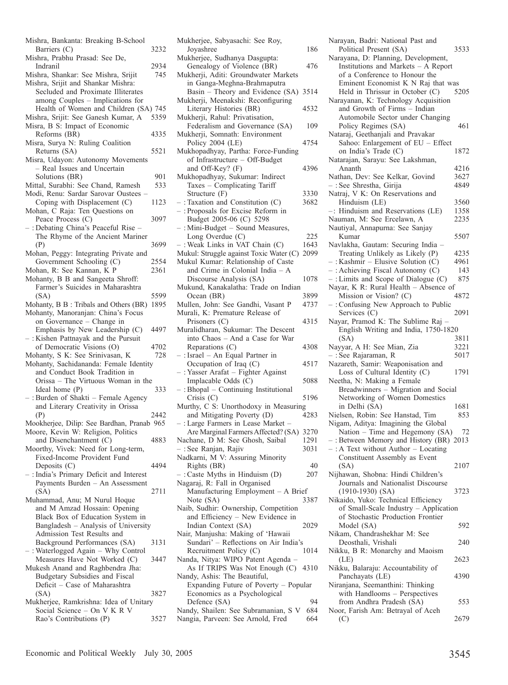| Mishra, Bankanta: Breaking B-School                                         |      |
|-----------------------------------------------------------------------------|------|
| Barriers (C)                                                                | 3232 |
| Mishra, Prabhu Prasad: See De,<br>Indranil                                  | 2934 |
| Mishra, Shankar: See Mishra, Srijit                                         | 745  |
| Mishra, Srijit and Shankar Mishra:                                          |      |
| Secluded and Proximate Illiterates                                          |      |
| among Couples - Implications for<br>Health of Women and Children (SA) 745   |      |
| Mishra, Srijit: See Ganesh Kumar, A                                         | 5359 |
| Misra, B S: Impact of Economic                                              |      |
| Reforms (BR)                                                                | 4335 |
| Misra, Surya N: Ruling Coalition                                            |      |
| Returns (SA)<br>Misra, Udayon: Autonomy Movements                           | 5521 |
| - Real Issues and Uncertain                                                 |      |
| Solutions (BR)                                                              | 901  |
| Mittal, Surabhi: See Chand, Ramesh                                          | 533  |
| Modi, Renu: Sardar Sarovar Oustees                                          |      |
| Coping with Displacement (C)<br>Mohan, C Raja: Ten Questions on             | 1123 |
| Peace Process (C)                                                           | 3097 |
| - : Debating China's Peaceful Rise -                                        |      |
| The Rhyme of the Ancient Mariner                                            |      |
| (P)                                                                         | 3699 |
| Mohan, Peggy: Integrating Private and<br>Government Schooling (C)           | 2554 |
| Mohan, R: See Kannan, K P                                                   | 2361 |
| Mohanty, B B and Sangeeta Shroff:                                           |      |
| Farmer's Suicides in Maharashtra                                            |      |
| (SA)                                                                        | 5599 |
| Mohanty, B B: Tribals and Others (BR)<br>Mohanty, Manoranjan: China's Focus | 1895 |
| on Governance - Change in                                                   |      |
| Emphasis by New Leadership (C)                                              | 4497 |
| -: Kishen Pattnayak and the Pursuit                                         |      |
| of Democratic Visions (O)                                                   | 4702 |
| Mohanty, S K: See Srinivasan, K<br>Mohanty, Sachidananda: Female Identity   | 728  |
| and Conduct Book Tradition in                                               |      |
| Orissa - The Virtuous Woman in the                                          |      |
| Ideal home $(P)$                                                            | 333  |
| -: Burden of Shakti - Female Agency                                         |      |
| and Literary Creativity in Orissa<br>(P)                                    | 2442 |
| Mookherjee, Dilip: See Bardhan, Pranab 965                                  |      |
| Moore, Kevin W: Religion, Politics                                          |      |
|                                                                             |      |
| and Disenchantment (C)                                                      | 4883 |
| Moorthy, Vivek: Need for Long-term,                                         |      |
| Fixed-Income Provident Fund                                                 |      |
| Deposits $(C)$                                                              | 4494 |
| -: India's Primary Deficit and Interest<br>Payments Burden - An Assessment  |      |
| (SA)                                                                        | 2711 |
| Muhammad, Anu; M Nurul Hoque                                                |      |
| and M Amzad Hossain: Opening                                                |      |
| Black Box of Education System in                                            |      |
| Bangladesh - Analysis of University<br>Admission Test Results and           |      |
| Background Performances (SA)                                                | 3131 |
| : Waterlogged Again - Why Control                                           |      |
| Measures Have Not Worked (C)                                                | 3447 |
| Mukesh Anand and Raghbendra Jha:                                            |      |
| Budgetary Subsidies and Fiscal<br>Deficit - Case of Maharashtra             |      |
| (SA)                                                                        | 3827 |
| Mukherjee, Ramkrishna: Idea of Unitary                                      |      |
| Social Science - On V K R V<br>Rao's Contributions (P)                      | 3527 |

| Mukherjee, Sabyasachi: See Roy,                                     |      |
|---------------------------------------------------------------------|------|
| Joyashree                                                           | 186  |
| Mukherjee, Sudhanya Dasgupta:                                       |      |
| Genealogy of Violence (BR)                                          | 476  |
| Mukherji, Aditi: Groundwater Markets                                |      |
| in Ganga-Meghna-Brahmaputra                                         |      |
| Basin – Theory and Evidence (SA)                                    | 3514 |
| Mukherji, Meenakshi: Reconfiguring                                  |      |
| Literary Histories (BR)<br>Mukherji, Rahul: Privatisation,          | 4532 |
| Federalism and Governance (SA)                                      | 109  |
| Mukherji, Somnath: Environment                                      |      |
| Policy 2004 (LE)                                                    | 4754 |
| Mukhopadhyay, Partha: Force-Funding                                 |      |
| of Infrastructure - Off-Budget                                      |      |
| and Off-Key? (F)                                                    | 4396 |
| Mukhopadhyay, Sukumar: Indirect                                     |      |
| Taxes - Complicating Tariff                                         |      |
| Structure (F)                                                       | 3330 |
| $-$ : Taxation and Constitution (C)                                 | 3682 |
| -: Proposals for Excise Reform in                                   |      |
| Budget 2005-06 (C) 5298                                             |      |
| -: Mini-Budget - Sound Measures,                                    | 225  |
| Long Overdue (C)<br>: Weak Links in VAT Chain (C)                   | 1643 |
| Mukul: Struggle against Toxic Water (C)                             | 2099 |
| Mukul Kumar: Relationship of Caste                                  |      |
| and Crime in Colonial India $-A$                                    |      |
| Discourse Analysis (SA)                                             | 1078 |
| Mukund, Kanakalatha: Trade on Indian                                |      |
| Ocean (BR)                                                          | 3899 |
| Mullen, John: See Gandhi, Vasant P                                  | 4737 |
| Murali, K: Premature Release of                                     |      |
| Prisoners (C)                                                       | 4315 |
| Muralidharan, Sukumar: The Descent                                  |      |
| into Chaos - And a Case for War                                     |      |
| Reparations (C)<br>- : Israel - An Equal Partner in                 | 4308 |
| Occupation of Iraq $(C)$                                            | 4517 |
| -: Yasser Arafat - Fighter Against                                  |      |
| Implacable Odds (C)                                                 | 5088 |
| -: Bhopal - Continuing Institutional                                |      |
| Crisis $(C)$                                                        | 5196 |
| Murthy, C S: Unorthodoxy in Measuring                               |      |
| and Mitigating Poverty (D)                                          | 4283 |
| -: Large Farmers in Lease Market -                                  |      |
| Are Marginal Farmers Affected? (SA) 3270                            |      |
| Nachane, D M: See Ghosh, Saibal                                     | 1291 |
| - : See Ranjan, Rajiv<br>Nadkarni, M V: Assuring Minority           | 3031 |
| Rights (BR)                                                         | 40   |
| $-$ : Caste Myths in Hinduism (D)                                   | 207  |
| Nagaraj, R: Fall in Organised                                       |      |
| Manufacturing Employment - A Brief                                  |      |
| Note (SA)                                                           | 3387 |
| Naib, Sudhir: Ownership, Competition                                |      |
| and Efficiency - New Evidence in                                    |      |
| Indian Context (SA)                                                 | 2029 |
| Nair, Manjusha: Making of 'Hawaii                                   |      |
| Sundari' - Reflections on Air India's                               |      |
| Recruitment Policy (C)                                              | 1014 |
| Nanda, Nitya: WIPO Patent Agenda -                                  |      |
| As If TRIPS Was Not Enough (C) 4310<br>Nandy, Ashis: The Beautiful, |      |
| Expanding Future of Poverty - Popular                               |      |
|                                                                     |      |
|                                                                     |      |
| Economics as a Psychological<br>Defence (SA)                        | 94   |
| Nandy, Shailen: See Subramanian, S V                                | 684  |

| Narayan, Badri: National Past and<br>Political Present (SA)                    | 3533         |
|--------------------------------------------------------------------------------|--------------|
| Narayana, D: Planning, Development,                                            |              |
| Institutions and Markets - A Report                                            |              |
| of a Conference to Honour the                                                  |              |
| Eminent Economist K N Raj that was                                             |              |
| Held in Thrissur in October (C)                                                | 5205         |
| Narayanan, K: Technology Acquisition                                           |              |
| and Growth of Firms - Indian                                                   |              |
| Automobile Sector under Changing                                               |              |
| Policy Regimes (SA)<br>Nataraj, Geethanjali and Pravakar                       | 461          |
| Sahoo: Enlargement of EU - Effect                                              |              |
| on India's Trade (C)                                                           | 1872         |
| Natarajan, Sarayu: See Lakshman,                                               |              |
| Ananth                                                                         | 4216         |
| Nathan, Dev: See Kelkar, Govind                                                | 3627         |
| - : See Shrestha, Girija                                                       | 4849         |
| Natraj, V K: On Reservations and                                               |              |
| Hinduism (LE)                                                                  | 3560         |
| -: Hinduism and Reservations (LE)                                              | 1358         |
| Nauman, M: See Ercelawn, A<br>Nautiyal, Annapurna: See Sanjay                  | 2235         |
| Kumar                                                                          | 5507         |
| Navlakha, Gautam: Securing India -                                             |              |
| Treating Unlikely as Likely (P)                                                | 4235         |
| - : Kashmir - Elusive Solution (C)                                             | 4961         |
| -: Achieving Fiscal Autonomy (C)                                               | 143          |
| $-$ : Limits and Scope of Dialogue (C)                                         | 875          |
| Nayar, K R: Rural Health - Absence of                                          |              |
| Mission or Vision? (C)                                                         | 4872         |
| -: Confusing New Approach to Public                                            |              |
| Services (C)                                                                   | 2091         |
|                                                                                |              |
| Nayar, Pramod K: The Sublime Raj                                               |              |
| English Writing and India, 1750-1820                                           |              |
| (SA)                                                                           | 3811         |
| Nayyar, A H: See Mian, Zia                                                     | 3221<br>5017 |
| - : See Rajaraman, R<br>Nazareth, Samir: Weaponisation and                     |              |
| Loss of Cultural Identity (C)                                                  | 1791         |
| Neetha, N: Making a Female                                                     |              |
| Breadwinners - Migration and Social                                            |              |
| Networking of Women Domestics                                                  |              |
| in Delhi (SA)                                                                  | 1681         |
|                                                                                | 853          |
| Nielsen, Robin: See Hanstad, Tim<br>Nigam, Aditya: Imagining the Global        | -72          |
| Nation - Time and Hegemony (SA)                                                |              |
| -: Between Memory and History (BR) 2013<br>-: A Text without Author - Locating |              |
| Constituent Assembly as Event                                                  |              |
| (SA)                                                                           | 2107         |
| Nijhawan, Shobna: Hindi Children's                                             |              |
| Journals and Nationalist Discourse                                             |              |
| $(1910-1930)$ (SA)                                                             | 3723         |
| Nikaido, Yuko: Technical Efficiency                                            |              |
| of Small-Scale Industry - Application                                          |              |
| of Stochastic Production Frontier                                              |              |
| Model (SA)<br>Nikam, Chandrashekhar M: See                                     | 592          |
| Deosthali, Vrishali                                                            | 240          |
| Nikku, B R: Monarchy and Maoism                                                |              |
| (LE)                                                                           | 2623         |
| Nikku, Balaraju: Accountability of                                             |              |
| Panchayats (LE)                                                                | 4390         |
| Niranjana, Seemanthini: Thinking                                               |              |
| with Handlooms - Perspectives                                                  |              |
| from Andhra Pradesh (SA)<br>Noor, Farish Am: Betrayal of Aceh                  | 553          |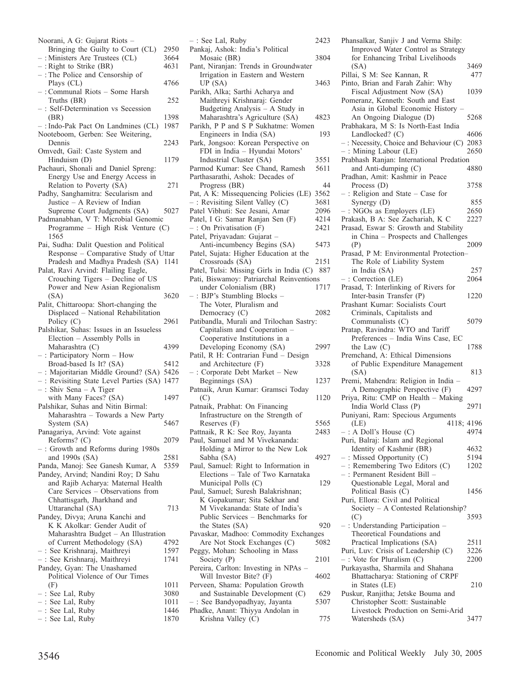| Noorani, A G: Gujarat Riots -                                                    |      |
|----------------------------------------------------------------------------------|------|
| Bringing the Guilty to Court (CL)                                                | 2950 |
| -: Ministers Are Trustees (CL)                                                   | 3664 |
| $-$ : Right to Strike (BR)                                                       | 4631 |
| -: The Police and Censorship of                                                  |      |
| Plays (CL)                                                                       | 4766 |
| -: Communal Riots - Some Harsh                                                   |      |
| Truths (BR)                                                                      | 252  |
| -: Self-Determination vs Secession                                               |      |
|                                                                                  | 1398 |
| (BR)                                                                             | 1987 |
| -: Indo-Pak Pact On Landmines (CL)<br>Nooteboom, Gerben: See Weitering,          |      |
|                                                                                  |      |
| Dennis                                                                           | 2243 |
| Omvedt, Gail: Caste System and                                                   |      |
| Hinduism (D)                                                                     | 1179 |
| Pachauri, Shonali and Daniel Spreng:                                             |      |
| Energy Use and Energy Access in                                                  |      |
| Relation to Poverty (SA)                                                         | 271  |
| Padhy, Sanghamitra: Secularism and                                               |      |
| Justice - A Review of Indian                                                     |      |
| Supreme Court Judgments (SA)                                                     | 5027 |
| Padmanabhan, V T. Microbial Genomic                                              |      |
| Programme - High Risk Venture (C)                                                |      |
| 1565                                                                             |      |
| Pai, Sudha: Dalit Question and Political                                         |      |
| Response - Comparative Study of Uttar                                            |      |
| Pradesh and Madhya Pradesh (SA) 1141                                             |      |
| Palat, Ravi Arvind: Flailing Eagle,                                              |      |
| Crouching Tigers - Decline of US                                                 |      |
| Power and New Asian Regionalism                                                  |      |
| (SA)                                                                             | 3620 |
| Palit, Chittaroopa: Short-changing the                                           |      |
| Displaced - National Rehabilitation                                              |      |
| Policy (C)                                                                       | 2961 |
| Palshikar, Suhas: Issues in an Issueless                                         |      |
| Election - Assembly Polls in                                                     |      |
| Maharashtra (C)                                                                  | 4399 |
| : Participatory Norm - How                                                       |      |
| Broad-based Is It? (SA)                                                          | 5412 |
| : Majoritarian Middle Ground? (SA) 5426                                          |      |
| -: Revisiting State Level Parties (SA) 1477                                      |      |
| $-$ : Shiv Sena $-$ A Tiger                                                      |      |
| with Many Faces? (SA)                                                            | 1497 |
| Palshikar, Suhas and Nitin Birmal:                                               |      |
| Maharashtra - Towards a New Party                                                |      |
| System (SA)                                                                      | 5467 |
| Panagariya, Arvind: Vote against                                                 |      |
| Reforms? (C)                                                                     | 2079 |
| -: Growth and Reforms during 1980s                                               |      |
| and 1990s (SA)                                                                   | 2581 |
| Panda, Manoj: See Ganesh Kumar, A                                                | 5359 |
| Pandey, Arvind; Nandini Roy; D Sahu                                              |      |
| and Rajib Acharya: Maternal Health                                               |      |
| Care Services - Observations from                                                |      |
| Chhattisgarh, Jharkhand and                                                      |      |
| Uttaranchal (SA)                                                                 | 713  |
| Pandey, Divya; Aruna Kanchi and                                                  |      |
| K K Akolkar: Gender Audit of                                                     |      |
| Maharashtra Budget - An Illustration                                             |      |
| of Current Methodology (SA)                                                      | 4792 |
| : See Krishnaraj, Maithreyi                                                      | 1597 |
| - : See Krishnaraj, Maithreyi<br>- : See Krishnaraj, Maithreyi                   | 1741 |
| Pandey, Gyan: The Unashamed                                                      |      |
| Political Violence of Our Times                                                  |      |
| (F)                                                                              | 1011 |
|                                                                                  | 3080 |
|                                                                                  | 1011 |
|                                                                                  | 1446 |
| - : See Lal, Ruby<br>- : See Lal, Ruby<br>- : See Lal, Ruby<br>- : See Lal, Ruby | 1870 |
|                                                                                  |      |

| -: See Lal, Ruby                                                   | 2423 |
|--------------------------------------------------------------------|------|
| Pankaj, Ashok: India's Political                                   |      |
| Mosaic (BR)                                                        | 3804 |
| Pant, Niranjan: Trends in Groundwater                              |      |
| Irrigation in Eastern and Western                                  |      |
| UP(SA)                                                             | 3463 |
| Parikh, Alka; Sarthi Acharya and                                   |      |
| Maithreyi Krishnaraj: Gender                                       |      |
| Budgeting Analysis - A Study in                                    |      |
| Maharashtra's Agriculture (SA)                                     | 4823 |
| Parikh, P P and S P Sukhatme: Women                                |      |
| Engineers in India (SA)                                            | 193  |
| Park, Jongsoo: Korean Perspective on                               |      |
| FDI in India - Hyundai Motors'                                     |      |
| Industrial Cluster (SA)                                            | 3551 |
| Parmod Kumar: See Chand, Ramesh                                    | 5611 |
| Parthasarathi, Ashok: Decades of                                   |      |
| Progress (BR)                                                      | 44   |
| Pat, A K: Missequencing Policies (LE)                              | 3562 |
| -: Revisiting Silent Valley (C)                                    | 3681 |
|                                                                    |      |
| Patel Vibhuti: See Jesani, Amar                                    | 2096 |
| Patel, I G: Samar Ranjan Sen (F)                                   | 4214 |
| $-$ : On Privatisation (F)                                         | 2421 |
| Patel, Priyavadan: Gujarat -                                       |      |
| Anti-incumbency Begins (SA)                                        | 5473 |
| Patel, Sujata: Higher Education at the                             |      |
| Crossroads (SA)                                                    | 2151 |
| Patel, Tulsi: Missing Girls in India (C)                           | 887  |
| Pati, Biswamoy: Patriarchal Reinventions                           |      |
| under Colonialism (BR)                                             | 1717 |
| -: BJP's Stumbling Blocks -                                        |      |
| The Voter, Pluralism and                                           |      |
| Democracy (C)                                                      | 2082 |
| Patibandla, Murali and Trilochan Sastry:                           |      |
| Capitalism and Cooperation -                                       |      |
| Cooperative Institutions in a                                      |      |
| Developing Economy (SA)                                            | 2997 |
| Patil, R H: Contrarian Fund - Design                               |      |
| and Architecture (F)                                               | 3328 |
| -: Corporate Debt Market - New                                     |      |
| Beginnings (SA)                                                    | 1237 |
| Patnaik, Arun Kumar: Gramsci Today                                 |      |
| (C)                                                                | 1120 |
| Patnaik, Prabhat: On Financing                                     |      |
| Infrastructure on the Strength of                                  |      |
| Reserves (F)                                                       | 5565 |
| Pattnaik, R K: See Roy, Jayanta                                    | 2483 |
| Paul, Samuel and M Vivekananda:                                    |      |
| Holding a Mirror to the New Lok                                    |      |
| Sabha (SA)                                                         | 4927 |
| Paul, Samuel: Right to Information in                              |      |
| Elections - Tale of Two Karnataka                                  |      |
|                                                                    |      |
| Municipal Polls (C)                                                | 129  |
| Paul, Samuel; Suresh Balakrishnan;                                 |      |
| K Gopakumar; Sita Sekhar and                                       |      |
| M Vivekananda: State of India's                                    |      |
| Public Services – Benchmarks for                                   |      |
| the States (SA)                                                    | 920  |
| Pavaskar, Madhoo: Commodity Exchanges                              |      |
| Are Not Stock Exchanges (C)                                        | 5082 |
| Peggy, Mohan: Schooling in Mass                                    |      |
| Society (P)                                                        | 2101 |
| Pereira, Carlton: Investing in NPAs -                              |      |
| Will Investor Bite? (F)                                            | 4602 |
| Perveen, Shama: Population Growth                                  |      |
| and Sustainable Development (C)                                    | 629  |
|                                                                    |      |
| - : See Bandyopadhyay, Jayanta<br>Phadke, Anant: Thiyya Andolan in | 5307 |

Krishna Valley (C) 775

| Phansalkar, Sanjiv J and Verma Shilp:                                             |              |
|-----------------------------------------------------------------------------------|--------------|
| Improved Water Control as Strategy<br>for Enhancing Tribal Livelihoods            |              |
| (SA)                                                                              | 3469         |
| Pillai, S M: See Kannan, R                                                        | 477          |
| Pinto, Brian and Farah Zahir: Why                                                 |              |
| Fiscal Adjustment Now (SA)                                                        | 1039         |
| Pomeranz, Kenneth: South and East<br>Asia in Global Economic History              |              |
| An Ongoing Dialogue (D)                                                           | 5268         |
| Prabhakara, M S: Is North-East India                                              |              |
| Landlocked? (C)                                                                   | 4606         |
| -: Necessity, Choice and Behaviour (C)                                            | 2083         |
| $-$ : Mining Labour (LE)                                                          | 2650         |
| Prabhash Ranjan: International Predation<br>and Anti-dumping (C)                  | 4880         |
| Pradhan, Amit: Kashmir in Peace                                                   |              |
| Process $(D)$                                                                     | 3758         |
| -: Religion and State - Case for                                                  |              |
| Synergy (D)                                                                       | 855          |
| : NGOs as Employers (LE)                                                          | 2650         |
| Prakash, B A: See Zachariah, K C<br>Prasad, Eswar S: Growth and Stability         | 2227         |
| in China - Prospects and Challenges                                               |              |
| (P)                                                                               | 2009         |
| Prasad, P M: Environmental Protection-                                            |              |
| The Role of Liability System                                                      |              |
| in India (SA)                                                                     | 257          |
| $-$ : Correction (LE)                                                             | 2064         |
| Prasad, T: Interlinking of Rivers for<br>Inter-basin Transfer (P)                 | 1220         |
| Prashant Kumar: Socialists Court                                                  |              |
| Criminals, Capitalists and                                                        |              |
| Communalists (C)                                                                  | 5079         |
| Pratap, Ravindra: WTO and Tariff                                                  |              |
| Preferences - India Wins Case, EC                                                 |              |
| the Law $(C)$                                                                     | 1788         |
| Premchand, A: Ethical Dimensions<br>of Public Expenditure Management              |              |
| (SA)                                                                              | 813          |
| Premi, Mahendra: Religion in India -                                              |              |
| A Demographic Perspective (F)                                                     | 4297         |
| Priya, Ritu: CMP on Health - Making                                               |              |
| India World Class (P)                                                             | 2971         |
| Puniyani, Ram: Specious Arguments<br>(LE)<br>4118;                                | 4196         |
| $-$ : A Doll's House (C)                                                          | 4974         |
| Puri, Balraj: Islam and Regional                                                  |              |
| Identity of Kashmir (BR)                                                          | 4632         |
| -: Missed Opportunity (C)                                                         | 5194         |
| : Remembering Two Editors (C)<br>- : Remembering<br>- : Permanent Resident Bill - | 1202         |
|                                                                                   |              |
| Questionable Legal, Moral and<br>Political Basis (C)                              | 1456         |
| Puri, Ellora: Civil and Political                                                 |              |
| Society - A Contested Relationship?                                               |              |
| (C)                                                                               | 3593         |
| -: Understanding Participation -                                                  |              |
| Theoretical Foundations and                                                       |              |
| Practical Implications (SA)<br>Puri, Luv: Crisis of Leadership (C)                | 2511<br>3226 |
| $-$ : Vote for Pluralism (C)                                                      | 2200         |
| Purkayastha, Sharmila and Shahana                                                 |              |
| Bhattacharya: Stationing of CRPF                                                  |              |
| in States (LE)                                                                    | 210          |
| Puskur, Ranjitha; Jetske Bouma and                                                |              |
| Christopher Scott: Sustainable                                                    |              |
| Livestock Production on Semi-Arid<br>Watersheds (SA)                              |              |
|                                                                                   | 3477         |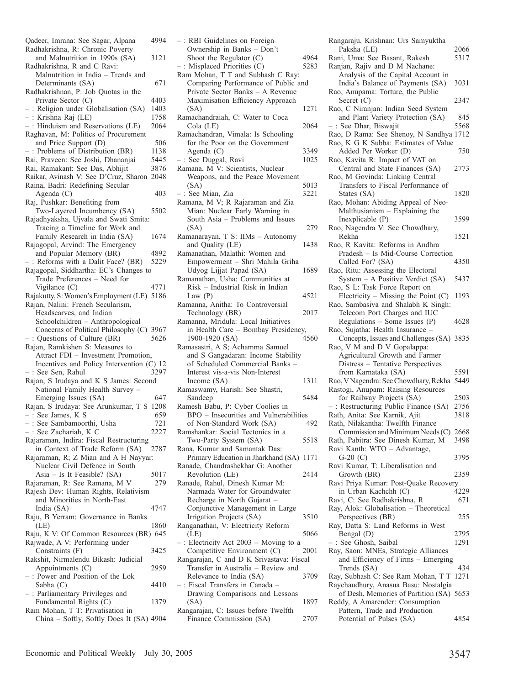| Qadeer, Imrana: See Sagar, Alpana                                                               | 4994        |
|-------------------------------------------------------------------------------------------------|-------------|
| Radhakrishna, R: Chronic Poverty<br>and Malnutrition in 1990s (SA)                              | 3121        |
| Radhakrishna, R and C Ravi:                                                                     |             |
| Malnutrition in India - Trends and                                                              |             |
| Determinants (SA)                                                                               | 671         |
| Radhakrishnan, P: Job Quotas in the                                                             |             |
| Private Sector (C)                                                                              | 4403        |
| -: Religion under Globalisation (SA)                                                            | 1403        |
| -: Krishna Raj (LE)<br>-: Hinduism and Reservations (LE)                                        | 1758        |
|                                                                                                 | 2064        |
| Raghavan, M: Politics of Procurement<br>and Price Support (D)                                   | 506         |
| : Problems of Distribution (BR)                                                                 | 1138        |
| Rai, Praveen: See Joshi, Dhananjai                                                              | 5445        |
| Rai, Ramakant: See Das, Abhijit                                                                 | 3876        |
| Raikar, Avinash V: See D'Cruz, Sharon                                                           | 2048        |
| Raina, Badri: Redefining Secular                                                                |             |
| Agenda (C)                                                                                      | 403         |
| Raj, Pushkar: Benefiting from                                                                   |             |
| Two-Layered Incumbency (SA)                                                                     | 5502        |
| Rajadhyaksha, Ujvala and Swati Smita:                                                           |             |
| Tracing a Timeline for Work and<br>Family Research in India (SA)                                | 1674        |
| Rajagopal, Arvind: The Emergency                                                                |             |
| and Popular Memory (BR)                                                                         | 4892        |
| : Reforms with a Dalit Face? (BR)                                                               | 5229        |
| Rajagopal, Siddhartha: EC's Changes to                                                          |             |
| Trade Preferences - Need for                                                                    |             |
| Vigilance $(C)$                                                                                 | 4771        |
| Rajakutty, S: Women's Employment (LE) 5186                                                      |             |
| Rajan, Nalini: French Secularism,                                                               |             |
| Headscarves, and Indian<br>Schoolchildren – Anthropological                                     |             |
| Concerns of Political Philosophy (C)                                                            | 3967        |
| : Questions of Culture (BR)                                                                     | 5626        |
| Rajan, Ramkishen S: Measures to                                                                 |             |
|                                                                                                 |             |
| Attract FDI - Investment Promotion,                                                             |             |
| Incentives and Policy Intervention (C) 12                                                       |             |
| : See Sen, Rahul                                                                                | 3297        |
| Rajan, S Irudaya and K S James: Second                                                          |             |
| National Family Health Survey                                                                   |             |
| Emerging Issues (SA)                                                                            | 647         |
| Rajan, S Irudaya: See Arunkumar, T S                                                            | 1208        |
| $-$ : See James, K S                                                                            | 659         |
|                                                                                                 | 721<br>2227 |
| - : See Sambamoorthi, Usha<br>- : See Zachariah, K C<br>Rajaraman, Indira: Fiscal Restructuring |             |
| in Context of Trade Reform (SA)                                                                 | 2787        |
| Rajaraman, R; Z Mian and A H Nayyar:                                                            |             |
| Nuclear Civil Defence in South                                                                  |             |
| Asia $-$ Is It Feasible? (SA)                                                                   | 5017        |
| Rajaraman, R: See Ramana, M V                                                                   | 279         |
| Rajesh Dev: Human Rights, Relativism                                                            |             |
| and Minorities in North-East                                                                    |             |
| India (SA)<br>Raju, B Yerram: Governance in Banks                                               | 4747        |
| (LE)                                                                                            | 1860        |
| Raju, K V: Of Common Resources (BR) 645                                                         |             |
| Rajwade, A V: Performing under                                                                  |             |
| Constraints (F)                                                                                 | 3425        |
| Rakshit, Nirmalendu Bikash: Judicial                                                            |             |
| Appointments (C)                                                                                | 2959        |
| -: Power and Position of the Lok                                                                | 4410        |
| Sabha (C)                                                                                       |             |
| : Parliamentary Privileges and<br>Fundamental Rights (C)                                        | 1379        |
| Ram Mohan, T T: Privatisation in<br>China - Softly, Softly Does It (SA) 4904                    |             |

| -: RBI Guidelines on Foreign                                            |      |
|-------------------------------------------------------------------------|------|
| Ownership in Banks - Don't<br>Shoot the Regulator (C)                   | 4964 |
| -: Misplaced Priorities (C)                                             | 5283 |
| Ram Mohan, T T and Subhash C Ray:                                       |      |
| Comparing Performance of Public and<br>Private Sector Banks - A Revenue |      |
| Maximisation Efficiency Approach                                        |      |
| (SA)                                                                    | 1271 |
| Ramachandraiah, C: Water to Coca                                        |      |
| Cola (LE)<br>Ramachandran, Vimala: Is Schooling                         | 2064 |
| for the Poor on the Government                                          |      |
| Agenda $(C)$                                                            | 3349 |
| -: See Duggal, Ravi                                                     | 1025 |
| Ramana, M V: Scientists, Nuclear<br>Weapons, and the Peace Movement     |      |
| (SA)                                                                    | 5013 |
| : See Mian, Zia                                                         | 3221 |
| Ramana, M V; R Rajaraman and Zia                                        |      |
| Mian: Nuclear Early Warning in<br>South Asia - Problems and Issues      |      |
| (SA)                                                                    | 279  |
| Ramanarayan, T S: IIMs - Autonomy                                       |      |
| and Quality (LE)                                                        | 1438 |
| Ramanathan, Malathi: Women and<br>Empowerment - Shri Mahila Griha       |      |
| Udyog Lijjat Papad (SA)                                                 | 1689 |
| Ramanathan, Usha: Communities at                                        |      |
| Risk - Industrial Risk in Indian                                        |      |
| Law $(P)$<br>Ramanna, Anitha: To Controversial                          | 4521 |
| Technology (BR)                                                         | 2017 |
| Ramanna, Mridula: Local Initiatives                                     |      |
| in Health Care - Bombay Presidency,                                     |      |
|                                                                         |      |
| 1900-1920 (SA)                                                          | 4560 |
| Ramasastri, A S; Achamma Samuel<br>and S Gangadaran: Income Stability   |      |
| of Scheduled Commercial Banks -                                         |      |
| Interest vis-a-vis Non-Interest                                         |      |
| Income (SA)                                                             | 1311 |
| Ramaswamy, Harish: See Shastri,<br>Sandeep                              | 5484 |
| Ramesh Babu, P: Cyber Coolies in                                        |      |
| BPO - Insecurities and Vulnerabilities                                  |      |
| of Non-Standard Work (SA)                                               | 492  |
| Ramshankar: Social Tectonics in a<br>Two-Party System (SA)              | 5518 |
| Rana, Kumar and Samantak Das:                                           |      |
| Primary Education in Jharkhand (SA)                                     | 1171 |
| Ranade, Chandrashekhar G: Another<br>Revolution (LE)                    | 2414 |
| Ranade, Rahul, Dinesh Kumar M:                                          |      |
| Narmada Water for Groundwater                                           |      |
| Recharge in North Gujarat -                                             |      |
| Conjunctive Management in Large<br>Irrigation Projects (SA)             | 3510 |
| Ranganathan, V: Electricity Reform                                      |      |
| (LE)                                                                    | 5066 |
| -: Electricity Act 2003 - Moving to a                                   | 2001 |
| Competitive Environment (C)<br>Rangarajan, C and D K Srivastava: Fiscal |      |
| Transfer in Australia - Review and                                      |      |
| Relevance to India (SA)                                                 | 3709 |
| : Fiscal Transfers in Canada –                                          |      |
| Drawing Comparisons and Lessons<br>(SA)                                 | 1897 |
| Rangarajan, C: Issues before Twelfth<br>Finance Commission (SA)         | 2707 |

| Rangaraju, Krishnan: Urs Samyuktha                          |      |
|-------------------------------------------------------------|------|
| Paksha (LE)                                                 | 2066 |
| Rani, Uma: See Basant, Rakesh                               | 5317 |
| Ranjan, Rajiv and D M Nachane:                              |      |
| Analysis of the Capital Account in                          |      |
| India's Balance of Payments (SA)                            | 3031 |
| Rao, Anupama: Torture, the Public                           |      |
| Secret $(C)$                                                | 2347 |
| Rao, C Niranjan: Indian Seed System                         |      |
| and Plant Variety Protection (SA)<br>- : See Dhar, Biswajit | 845  |
|                                                             | 5568 |
| Rao, D Rama: See Shenoy, N Sandhya 1712                     |      |
| Rao, K G K Subba: Estimates of Value                        |      |
| Added Per Worker (D)                                        | 750  |
| Rao, Kavita R: Impact of VAT on                             |      |
| Central and State Finances (SA)                             | 2773 |
| Rao, M Govinda: Linking Central                             |      |
| Transfers to Fiscal Performance of                          |      |
| States (SA)                                                 | 1820 |
| Rao, Mohan: Abiding Appeal of Neo-                          |      |
| Malthusianism - Explaining the                              |      |
| Inexplicable (P)                                            | 3599 |
| Rao, Nagendra V: See Chowdhary,<br>Rekha                    |      |
| Rao, R Kavita: Reforms in Andhra                            | 1521 |
| Pradesh - Is Mid-Course Correction                          |      |
| Called For? (SA)                                            | 4350 |
| Rao, Ritu: Assessing the Electoral                          |      |
| System - A Positive Verdict (SA)                            | 5437 |
| Rao, S L: Task Force Report on                              |      |
| Electricity – Missing the Point $(C)$ 1193                  |      |
| Rao, Sambasiva and Shalabh K Singh:                         |      |
| Telecom Port Charges and IUC                                |      |
| Regulations $-$ Some Issues (P)                             | 4628 |
| Rao, Sujatha: Health Insurance -                            |      |
| Concepts, Issues and Challenges (SA) 3835                   |      |
| Rao, V M and D V Gopalappa:                                 |      |
| Agricultural Growth and Farmer                              |      |
| Distress - Tentative Perspectives                           |      |
| from Karnataka (SA)                                         | 5591 |
| Rao, V Nagendra: See Chowdhary, Rekha                       | 5449 |
| Rastogi, Anupam: Raising Resources                          |      |
| for Railway Projects (SA)                                   | 2503 |
| : Restructuring Public Finance (SA)                         | 2756 |
| Rath, Anita: See Karnik, Ajit                               | 3818 |
| Rath, Nilakantha: Twelfth Finance                           |      |
| Commission and Minimum Needs (C) 2668                       |      |
| Rath, Pabitra: See Dinesh Kumar, M                          | 3498 |
| Ravi Kanth: WTO - Advantage,                                |      |
| G-20 $(C)$                                                  | 3795 |
| Ravi Kumar, T: Liberalisation and                           |      |
| Growth (BR)                                                 | 2359 |
| Ravi Priya Kumar: Post-Quake Recovery                       |      |
| in Urban Kachchh (C)                                        | 4229 |
| Ravi, C: See Radhakrishna, R                                | 671  |
| Ray, Alok: Globalisation - Theoretical                      |      |
| Perspectives (BR)                                           | 255  |
| Ray, Datta S: Land Reforms in West                          |      |
| Bengal (D)                                                  | 2795 |
| : See Ghosh, Saibal                                         | 1291 |
| Ray, Saon: MNEs, Strategic Alliances                        |      |
| and Efficiency of Firms - Emerging                          |      |
| Trends (SA)                                                 | 434  |
| Ray, Subhash C: See Ram Mohan, T T                          |      |
| Raychaudhury, Anasua Basu: Nostalgia                        | 1271 |
|                                                             |      |
| of Desh, Memories of Partition (SA) 5653                    |      |
| Reddy, A Amarender: Consumption                             |      |
| Pattern, Trade and Production<br>Potential of Pulses (SA)   |      |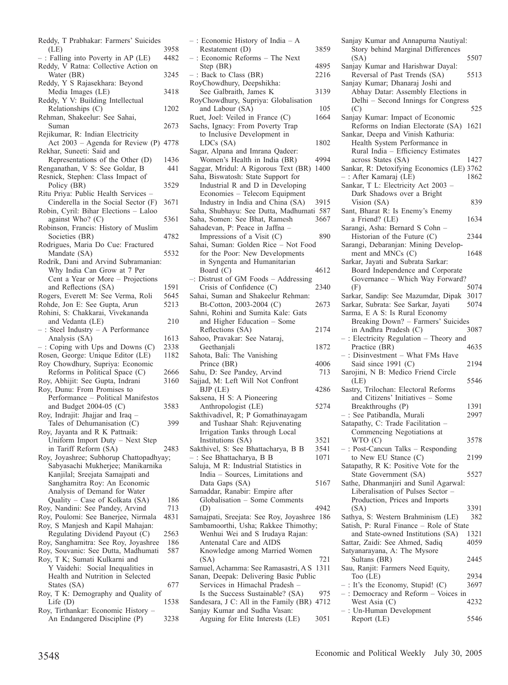| Reddy, T Prabhakar: Farmers' Suicides                                   |      |
|-------------------------------------------------------------------------|------|
| (LE)                                                                    | 3958 |
| -: Falling into Poverty in AP (LE)                                      | 4482 |
| Reddy, V Ratna: Collective Action on                                    |      |
| Water (BR)                                                              | 3245 |
| Reddy, Y S Rajasekhara: Beyond                                          |      |
| Media Images (LE)                                                       | 3418 |
| Reddy, Y V: Building Intellectual                                       |      |
| Relationships (C)                                                       | 1202 |
| Rehman, Shakeelur: See Sahai,                                           | 2673 |
| Suman<br>Rejikumar, R: Indian Electricity                               |      |
| Act 2003 - Agenda for Review (P) 4778                                   |      |
| Rekhar, Suneeti: Said and                                               |      |
| Representations of the Other (D)                                        | 1436 |
| Renganathan, V S: See Goldar, B                                         | 441  |
| Resnick, Stephen: Class Impact of                                       |      |
| Policy (BR)                                                             | 3529 |
| Ritu Priya: Public Health Services -                                    |      |
| Cinderella in the Social Sector (F)                                     | 3671 |
| Robin, Cyril: Bihar Elections - Laloo                                   |      |
| against Who? (C)                                                        | 5361 |
| Robinson, Francis: History of Muslim                                    |      |
| Societies (BR)<br>Rodrigues, Maria Do Cue: Fractured                    | 4782 |
| Mandate (SA)                                                            | 5532 |
| Rodrik, Dani and Arvind Subramanian:                                    |      |
| Why India Can Grow at 7 Per                                             |      |
| Cent a Year or More - Projections                                       |      |
| and Reflections (SA)                                                    | 1591 |
| Rogers, Everett M: See Verma, Roli                                      | 5645 |
| Rohde, Jon E: See Gupta, Arun                                           | 5213 |
| Rohini, S. Chakkarai, Vivekananda                                       |      |
| and Vedanta (LE)                                                        | 210  |
| : Steel Industry - A Performance<br>Analysis (SA)                       | 1613 |
| $-$ : Coping with Ups and Downs (C)                                     | 2338 |
| Rosen, George: Unique Editor (LE)                                       | 1182 |
| Roy Chowdhury, Supriya: Economic                                        |      |
| Reforms in Political Space (C)                                          | 2666 |
| Roy, Abhijit: See Gupta, Indrani                                        | 3160 |
| Roy, Dunu: From Promises to                                             |      |
| Performance - Political Manifestos                                      |      |
| and Budget $2004-05$ (C)                                                | 3583 |
| Roy, Indrajit: Jhajjar and Iraq -                                       |      |
| Tales of Dehumanisation (C)<br>Roy, Jayanta and R K Pattnaik:           | 399  |
| Uniform Import Duty - Next Step                                         |      |
| in Tariff Reform (SA)                                                   | 2483 |
| Roy, Joyashree; Subhorup Chattopadhyay;                                 |      |
| Sabyasachi Mukherjee; Manikarnika                                       |      |
| Kanjilal; Sreejata Samajpati and                                        |      |
| Sanghamitra Roy: An Economic                                            |      |
| Analysis of Demand for Water                                            |      |
| Quality - Case of Kolkata (SA)                                          | 186  |
| Roy, Nandini: See Pandey, Arvind<br>Roy, Poulomi: See Banerjee, Nirmala | 713  |
| Roy, S Manjesh and Kapil Mahajan:                                       | 4831 |
| Regulating Dividend Payout (C)                                          | 2563 |
| Roy, Sanghamitra: See Roy, Joyashree                                    | 186  |
|                                                                         | 587  |
| Roy, Souvanic: See Dutta, Madhumati<br>Roy, T K; Sumati Kulkarni and    |      |
| Y Vaidehi: Social Inequalities in                                       |      |
| Health and Nutrition in Selected                                        |      |
| States (SA)                                                             | 677  |
| Roy, T K: Demography and Quality of                                     |      |
| Life $(D)$<br>Roy, Tirthankar: Economic History -                       | 1538 |
| An Endangered Discipline (P)                                            | 3238 |
|                                                                         |      |

| - : Economic History of India - A           |      |
|---------------------------------------------|------|
| Restatement (D)                             | 3859 |
| -: Economic Reforms - The Next              |      |
| Step (BR)                                   | 4895 |
| $-$ : Back to Class (BR)                    | 2216 |
|                                             |      |
| RoyChowdhury, Deepshikha:                   |      |
| See Galbraith, James K                      | 3139 |
| RoyChowdhury, Supriya: Globalisation        |      |
| and Labour (SA)                             | 105  |
| Ruet, Joel: Veiled in France (C)            | 1664 |
| Sachs, Ignacy: From Poverty Trap            |      |
| to Inclusive Development in                 |      |
| LDCs (SA)                                   | 1802 |
|                                             |      |
| Sagar, Alpana and Imrana Qadeer:            |      |
| Women's Health in India (BR)                | 4994 |
| Saggar, Mridul: A Rigorous Text (BR) 1400   |      |
| Saha, Biswatosh: State Support for          |      |
| Industrial R and D in Developing            |      |
| Economies - Telecom Equipment               |      |
| Industry in India and China (SA)            | 3915 |
|                                             |      |
| Saha, Shubhayu: See Dutta, Madhumati 587    |      |
| Saha, Somen: See Bhat, Ramesh               | 3667 |
| Sahadevan, P: Peace in Jaffna -             |      |
| Impressions of a Visit (C)                  | 890  |
| Sahai, Suman: Golden Rice - Not Food        |      |
| for the Poor: New Developments              |      |
|                                             |      |
| in Syngenta and Humanitarian                |      |
| Board (C)                                   | 4612 |
| -: Distrust of GM Foods - Addressing        |      |
| Crisis of Confidence (C)                    | 2340 |
| Sahai, Suman and Shakeelur Rehman:          |      |
| Bt-Cotton, 2003-2004 (C)                    | 2673 |
| Sahni, Rohini and Sumita Kale: Gats         |      |
| and Higher Education - Some                 |      |
|                                             |      |
| Reflections (SA)                            | 2174 |
| Sahoo, Pravakar: See Nataraj,               |      |
| Geethanjali                                 | 1872 |
| Sahota, Bali: The Vanishing                 |      |
| Prince (BR)                                 | 4006 |
| Sahu, D: See Pandey, Arvind                 | 713  |
| Sajjad, M: Left Will Not Confront           |      |
|                                             |      |
| BJP (LE)                                    | 4286 |
| Saksena, H S: A Pioneering                  |      |
| Anthropologist (LE)                         | 5274 |
| Sakthivadivel, R; P Gomathinayagam          |      |
| and Tushaar Shah: Rejuvenating              |      |
| Irrigation Tanks through Local              |      |
| Institutions (SA)                           | 3521 |
| Sakthivel, S: See Bhattacharya, B B         |      |
|                                             | 3541 |
| -: See Bhattacharya, B B                    | 1071 |
| Saluja, M R: Industrial Statistics in       |      |
| India - Sources, Limitations and            |      |
| Data Gaps (SA)                              | 5167 |
| Samaddar, Ranabir: Empire after             |      |
| Globalisation - Some Comments               |      |
|                                             | 4942 |
| (D)                                         |      |
| Samajpati, Sreejata: See Roy, Joyashree 186 |      |
| Sambamoorthi, Usha; Rakkee Thimothy;        |      |
| Wenhui Wei and S Irudaya Rajan:             |      |
| Antenatal Care and AIDS                     |      |
| Knowledge among Married Women               |      |
|                                             | 721  |
| (SA)                                        |      |
| Samuel, Achamma: See Ramasastri, A S 1311   |      |
| Sanan, Deepak: Delivering Basic Public      |      |
| Services in Himachal Pradesh -              |      |
| Is the Success Sustainable? (SA)            | 975  |
| Sandesara, J C: All in the Family (BR) 4712 |      |
| Sanjay Kumar and Sudha Vasan:               |      |
| Arguing for Elite Interests (LE)            | 3051 |
|                                             |      |

| Sanjay Kumar and Annapurna Nautiyal:                                |      |
|---------------------------------------------------------------------|------|
| Story behind Marginal Differences                                   | 5507 |
| (SA)<br>Sanjay Kumar and Harishwar Dayal:                           |      |
| Reversal of Past Trends (SA)<br>Sanjay Kumar; Dhanaraj Joshi and    | 5513 |
| Abhay Datar: Assembly Elections in                                  |      |
| Delhi - Second Innings for Congress                                 |      |
| (C)                                                                 | 525  |
| Sanjay Kumar: Impact of Economic                                    |      |
| Reforms on Indian Electorate (SA)                                   | 1621 |
| Sankar, Deepa and Vinish Kathuria:                                  |      |
| Health System Performance in                                        |      |
| Rural India - Efficiency Estimates                                  |      |
| across States (SA)                                                  | 1427 |
| Sankar, R: Detoxifying Economics (LE) 3762                          |      |
| -: After Kamaraj (LE)<br>Sankar, T L: Electricity Act 2003          | 1862 |
| Dark Shadows over a Bright                                          |      |
| Vision (SA)                                                         | 839  |
| Sant, Bharat R: Is Enemy's Enemy                                    |      |
| a Friend? (LE)                                                      | 1634 |
| Sarangi, Asha: Bernard S Cohn -                                     |      |
| Historian of the Future (C)                                         | 2344 |
| Sarangi, Debaranjan: Mining Develop-                                |      |
| ment and MNCs (C)                                                   | 1648 |
| Sarkar, Jayati and Subrata Sarkar:                                  |      |
| Board Independence and Corporate<br>Governance - Which Way Forward? |      |
| (F)                                                                 | 5074 |
| Sarkar, Sandip: See Mazumdar, Dipak                                 | 3017 |
| Sarkar, Subrata: See Sarkar, Jayati                                 | 5074 |
| Sarma, E A S: Is Rural Economy                                      |      |
| Breaking Down? - Farmers' Suicides                                  |      |
| in Andhra Pradesh (C)                                               | 3087 |
| -: Electricity Regulation - Theory and                              |      |
| Practice (BR)                                                       | 4635 |
| -: Disinvestment - What FMs Have                                    |      |
| Said since 1991 (C)                                                 | 2194 |
| Sarojini, N B: Medico Friend Circle<br>(LE)                         | 5546 |
| Sastry, Trilochan: Electoral Reforms                                |      |
| and Citizens' Initiatives - Some                                    |      |
| Breakthroughs (P)                                                   | 1391 |
| : See Patibandla, Murali                                            | 2997 |
| Satapathy, C: Trade Facilitation -                                  |      |
| Commencing Negotiations at                                          |      |
| WTO (C)                                                             | 3578 |
| -: Post-Cancun Talks - Responding                                   |      |
| to New EU Stance (C)<br>Satapathy, R K: Positive Vote for the       | 2199 |
| State Government (SA)                                               | 5527 |
| Sathe, Dhanmanjiri and Sunil Agarwal:                               |      |
| Liberalisation of Pulses Sector -                                   |      |
| Production, Prices and Imports                                      |      |
| (SA)                                                                | 3391 |
| Sathya, S: Western Brahminism (LE)                                  | 382  |
| Satish, P: Rural Finance - Role of State                            |      |
| and State-owned Institutions (SA)                                   | 1321 |
| Sattar, Zaidi: See Ahmed, Sadiq<br>Satyanarayana, A: The Mysore     | 4059 |
| Sultans (BR)                                                        | 2445 |
| Sau, Ranjit: Farmers Need Equity,                                   |      |
| Too (LE)                                                            | 2934 |
| : It's the Economy, Stupid! (C)                                     | 3697 |
| -: Democracy and Reform - Voices in                                 |      |
| West Asia (C)                                                       | 4232 |
| : Un-Human Development                                              |      |
| Report (LE)                                                         | 5546 |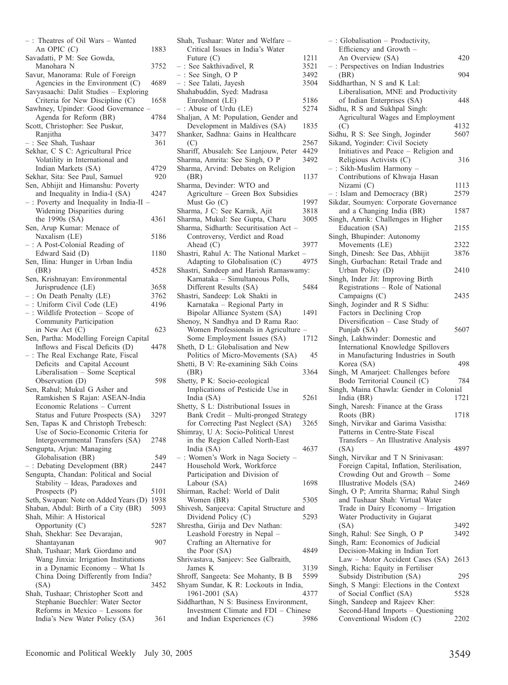| -: Theatres of Oil Wars - Wanted                                           |      |
|----------------------------------------------------------------------------|------|
| An OPIC (C)                                                                | 1883 |
| Savadatti, P M: See Gowda,                                                 |      |
| Manohara N                                                                 | 3752 |
| Savur, Manorama: Rule of Foreign                                           |      |
| Agencies in the Environment (C)                                            | 4689 |
| Savyasaachi: Dalit Studies - Exploring                                     |      |
| Criteria for New Discipline (C)<br>Sawhney, Upinder: Good Governance       | 1658 |
| Agenda for Reform (BR)                                                     | 4784 |
| Scott, Christopher: See Puskur,                                            |      |
| Ranjitha                                                                   | 3477 |
| : See Shah, Tushaar                                                        | 361  |
| Sekhar, C S C: Agricultural Price                                          |      |
| Volatility in International and                                            |      |
| Indian Markets (SA)                                                        | 4729 |
| Sekhar, Sita: See Paul, Samuel                                             | 920  |
| Sen, Abhijit and Himanshu: Poverty                                         |      |
| and Inequality in India-I (SA)                                             | 4247 |
| : Poverty and Inequality in India-II                                       |      |
| Widening Disparities during                                                |      |
| the $1990s$ (SA)<br>Sen, Arup Kumar: Menace of                             | 4361 |
| Naxalism (LE)                                                              | 5186 |
| : A Post-Colonial Reading of                                               |      |
| Edward Said (D)                                                            | 1180 |
| Sen, Ilina: Hunger in Urban India                                          |      |
| (BR)                                                                       | 4528 |
| Sen, Krishnayan: Environmental                                             |      |
| Jurisprudence (LE)                                                         | 3658 |
| $-$ : On Death Penalty (LE)                                                | 3762 |
| : Uniform Civil Code (LE)                                                  | 4196 |
| $-$ : Wildlife Protection $-$ Scope of                                     |      |
| Community Participation<br>in New Act (C)                                  | 623  |
| Sen, Partha: Modelling Foreign Capital                                     |      |
| Inflows and Fiscal Deficits (D)                                            | 4478 |
| : The Real Exchange Rate, Fiscal                                           |      |
| Deficits and Capital Account                                               |      |
| Liberalisation - Some Sceptical                                            |      |
| Observation (D)                                                            | 598  |
| Sen, Rahul; Mukul G Asher and                                              |      |
| Ramkishen S Rajan: ASEAN-India                                             |      |
| Economic Relations - Current                                               |      |
| Status and Future Prospects (SA)                                           | 3297 |
| Sen, Tapas K and Christoph Trebesch:<br>Use of Socio-Economic Criteria for |      |
| Intergovernmental Transfers (SA)                                           | 2748 |
| Sengupta, Arjun: Managing                                                  |      |
| Globalisation (BR)                                                         | 549  |
| : Debating Development (BR)                                                | 2447 |
| Sengupta, Chandan: Political and Social                                    |      |
| Stability - Ideas, Paradoxes and                                           |      |
| Prospects (P)                                                              | 5101 |
| Seth, Swapan: Note on Added Years (D)                                      | 1938 |
| Shaban, Abdul: Birth of a City (BR)                                        | 5093 |
| Shah, Mihir: A Historical                                                  |      |
| Opportunity (C)                                                            | 5287 |
| Shah, Shekhar: See Devarajan,<br>Shantayanan                               | 907  |
| Shah, Tushaar; Mark Giordano and                                           |      |
| Wang Jinxia: Irrigation Institutions                                       |      |
| in a Dynamic Economy - What Is                                             |      |
| China Doing Differently from India?                                        |      |
| (SA)                                                                       | 3452 |
| Shah, Tushaar; Christopher Scott and                                       |      |
| Stephanie Buechler: Water Sector                                           |      |
| Reforms in Mexico - Lessons for                                            |      |
| India's New Water Policy (SA)                                              | 361  |

| Shah, Tushaar: Water and Welfare -                                    |              |
|-----------------------------------------------------------------------|--------------|
| Critical Issues in India's Water                                      |              |
| Future $(C)$                                                          | 1211         |
| : See Sakthivadivel, R                                                | 3521         |
| $-$ : See Singh, O P                                                  | 3492         |
| -: See Talati, Jayesh                                                 | 3504         |
| Shahabuddin, Syed: Madrasa                                            |              |
| Enrolment (LE)                                                        | 5186<br>5274 |
| -: Abuse of Urdu (LE)<br>Shaljan, A M: Population, Gender and         |              |
| Development in Maldives (SA)                                          | 1835         |
| Shanker, Sadhna: Gains in Healthcare                                  |              |
| (C)                                                                   | 2567         |
| Shariff, Abusaleh: See Lanjouw, Peter                                 | 4429         |
| Sharma, Amrita: See Singh, O P                                        | 3492         |
| Sharma, Arvind: Debates on Religion                                   |              |
| (BR)                                                                  | 1137         |
| Sharma, Devinder: WTO and                                             |              |
| Agriculture - Green Box Subsidies                                     |              |
| Must Go (C)                                                           | 1997         |
| Sharma, J C: See Karnik, Ajit                                         | 3818         |
| Sharma, Mukul: See Gupta, Charu                                       | 3005         |
| Sharma, Sidharth: Securitisation Act -                                |              |
| Controversy, Verdict and Road                                         |              |
| Ahead $(C)$                                                           | 3977         |
| Shastri, Rahul A: The National Market                                 |              |
| Adapting to Globalisation (C)                                         | 4975         |
| Shastri, Sandeep and Harish Ramaswamy:                                |              |
| Karnataka - Simultaneous Polls,                                       |              |
| Different Results (SA)                                                | 5484         |
| Shastri, Sandeep: Lok Shakti in                                       |              |
| Karnataka - Regional Party in                                         |              |
| Bipolar Alliance System (SA)                                          | 1491         |
| Shenoy, N Sandhya and D Rama Rao:                                     |              |
| Women Professionals in Agriculture                                    |              |
| Some Employment Issues (SA)                                           | 1712         |
| Sheth, D L: Globalisation and New<br>Politics of Micro-Movements (SA) |              |
| Shetti, B V: Re-examining Sikh Coins                                  | 45           |
| (BR)                                                                  | 3364         |
| Shetty, P K: Socio-ecological                                         |              |
| Implications of Pesticide Use in                                      |              |
| India (SA)                                                            | 5261         |
| Shetty, S L: Distributional Issues in                                 |              |
| Bank Credit - Multi-pronged Strategy                                  |              |
| for Correcting Past Neglect (SA)                                      | 3265         |
| Shimray, U A: Socio-Political Unrest                                  |              |
| in the Region Called North-East                                       |              |
| India (SA)                                                            |              |
|                                                                       | 4637         |
| -: Women's Work in Naga Society -                                     |              |
| Household Work, Workforce                                             |              |
| Participation and Division of                                         |              |
| Labour (SA)                                                           | 1698         |
| Shirman, Rachel: World of Dalit                                       |              |
| Women (BR)                                                            | 5305         |
| Shivesh, Sanjeeva: Capital Structure and                              |              |
| Dividend Policy (C)                                                   | 5293         |
| Shrestha, Girija and Dev Nathan:                                      |              |
| Leashold Forestry in Nepal -                                          |              |
| Crafting an Alternative for                                           |              |
| the Poor (SA)                                                         | 4849         |
| Shrivastava, Sanjeev: See Galbraith,                                  |              |
| James K                                                               | 3139         |
| Shroff, Sangeeta: See Mohanty, B B                                    | 5599         |
| Shyam Sundar, K R: Lockouts in India,                                 |              |
| 1961-2001 (SA)                                                        | 4377         |
| Siddharthan, N S: Business Environment,                               |              |
| Investment Climate and FDI - Chinese<br>and Indian Experiences (C)    | 3986         |

| -: Globalisation - Productivity,                             |      |
|--------------------------------------------------------------|------|
| Efficiency and Growth -                                      |      |
| An Overview (SA)                                             | 420  |
| -: Perspectives on Indian Industries                         |      |
| (BR)                                                         | 904  |
| Siddharthan, N S and K Lal:                                  |      |
| Liberalisation, MNE and Productivity                         |      |
| of Indian Enterprises (SA)                                   | 448  |
| Sidhu, R S and Sukhpal Singh:                                |      |
| Agricultural Wages and Employment                            |      |
| (C)                                                          | 4132 |
| Sidhu, R S: See Singh, Joginder                              | 5607 |
| Sikand, Yoginder: Civil Society                              |      |
| Initiatives and Peace - Religion and                         |      |
| Religious Activists (C)                                      | 316  |
| -: Sikh-Muslim Harmony                                       |      |
| Contributions of Khwaja Hasan                                |      |
| Nizami (C)                                                   | 1113 |
| : Islam and Democracy (BR)                                   | 2579 |
| Sikdar, Soumyen: Corporate Governance                        |      |
| and a Changing India (BR)                                    | 1587 |
| Singh, Amrik: Challenges in Higher                           |      |
| Education (SA)                                               | 2155 |
| Singh, Bhupinder: Autonomy                                   |      |
| Movements (LE)                                               | 2322 |
| Singh, Dinesh: See Das, Abhijit                              | 3876 |
| Singh, Gurbachan: Retail Trade and                           |      |
| Urban Policy (D)                                             | 2410 |
| Singh, Inder Jit: Improving Birth                            |      |
| Registrations - Role of National                             |      |
| Campaigns (C)                                                | 2435 |
| Singh, Joginder and R S Sidhu:                               |      |
| Factors in Declining Crop                                    |      |
| Diversification - Case Study of                              |      |
|                                                              |      |
| Punjab (SA)                                                  | 5607 |
| Singh, Lakhwinder: Domestic and                              |      |
| International Knowledge Spillovers                           |      |
| in Manufacturing Industries in South                         |      |
| Korea (SA)                                                   | 498  |
| Singh, M Amarjeet: Challenges before                         |      |
| Bodo Territorial Council (C)                                 | 784  |
| Singh, Maina Chawla: Gender in Colonial                      |      |
| India (BR)                                                   | 1721 |
| Singh, Naresh: Finance at the Grass                          |      |
| Roots (BR)                                                   | 1718 |
| Singh, Nirvikar and Garima Vasistha:                         |      |
| Patterns in Centre-State Fiscal                              |      |
| Transfers - An Illustrative Analysis                         |      |
| (SA)                                                         | 4897 |
| Singh, Nirvikar and T N Srinivasan:                          |      |
| Foreign Capital, Inflation, Sterilisation,                   |      |
| Crowding Out and Growth - Some                               | 2469 |
| Illustrative Models (SA)                                     |      |
| Singh, O P; Amrita Sharma; Rahul Singh                       |      |
| and Tushaar Shah: Virtual Water                              |      |
| Trade in Dairy Economy - Irrigation                          |      |
| Water Productivity in Gujarat<br>(SA)                        | 3492 |
| Singh, Rahul: See Singh, O P                                 | 3492 |
| Singh, Ram: Economics of Judicial                            |      |
| Decision-Making in Indian Tort                               |      |
| Law - Motor Accident Cases (SA) 2613                         |      |
| Singh, Richa: Equity in Fertiliser                           |      |
| Subsidy Distribution (SA)                                    | 295  |
| Singh, S Mangi: Elections in the Context                     |      |
| of Social Conflict (SA)                                      | 5528 |
| Singh, Sandeep and Rajeev Kher:                              |      |
| Second-Hand Imports - Questioning<br>Conventional Wisdom (C) | 2202 |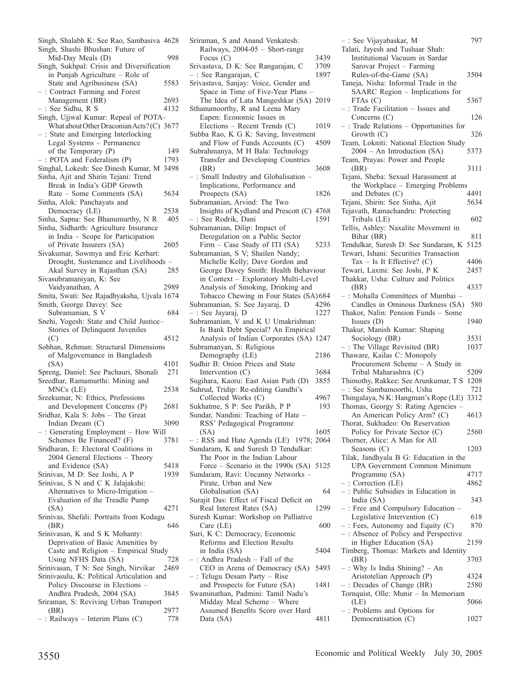| Singh, Shalabh K: See Rao, Sambasiva 4628<br>Singh, Shashi Bhushan: Future of |              |
|-------------------------------------------------------------------------------|--------------|
| Mid-Day Meals (D)                                                             | 998          |
| Singh, Sukhpal: Crisis and Diversification<br>in Punjab Agriculture - Role of |              |
| State and Agribusiness (SA)                                                   | 5583         |
| : Contract Farming and Forest                                                 |              |
| Management (BR)                                                               | 2693         |
| : See Sidhu, R S                                                              | 4132         |
| Singh, Ujjwal Kumar: Repeal of POTA-                                          |              |
| What about Other Draconian Acts? (C) 3677                                     |              |
| -: State and Emerging Interlocking                                            |              |
| Legal Systems - Permanence                                                    |              |
| of the Temporary (P)                                                          | 149          |
| POTA and Federalism (P)<br>Singhal, Lokesh: See Dinesh Kumar, M               | 1793<br>3498 |
| Sinha, Ajit and Shirin Tejani: Trend                                          |              |
| Break in India's GDP Growth                                                   |              |
| Rate - Some Comments (SA)                                                     | 5634         |
| Sinha, Alok: Panchayats and                                                   |              |
| Democracy (LE)                                                                | 2538         |
| Sinha, Sapna: See Bhanumurthy, N R                                            | 405          |
| Sinha, Sidharth: Agriculture Insurance                                        |              |
| in India - Scope for Participation                                            |              |
| of Private Insurers (SA)                                                      | 2605         |
| Sivakumar, Sowmya and Eric Kerbart:                                           |              |
| Drought, Sustenance and Livelihoods -                                         |              |
| Akal Survey in Rajasthan (SA)                                                 | 285          |
| Sivasubramaniyan, K: See<br>Vaidyanathan, A                                   | 2989         |
| Smita, Swati: See Rajadhyaksha, Ujvala 1674                                   |              |
| Smith, George Davey: See                                                      |              |
| Subramanian, S V                                                              | 684          |
| Snehi, Yogesh: State and Child Justice                                        |              |
| Stories of Delinquent Juveniles                                               |              |
| (C)                                                                           | 4512         |
| Sobhan, Rehman: Structural Dimensions                                         |              |
| of Malgovernance in Bangladesh                                                |              |
| (SA)                                                                          | 4101         |
| Spreng, Daniel: See Pachauri, Shonali                                         | 271          |
| Sreedhar, Ramamurthi: Mining and<br>MNCs (LE)                                 | 2538         |
| Sreekumar, N: Ethics, Professions                                             |              |
| and Development Concerns (P)                                                  | 2681         |
| Sridhar, Kala S: Jobs - The Great                                             |              |
| Indian Dream (C)                                                              | 3090         |
| -: Generating Employment - How Will                                           |              |
| Schemes Be Financed? (F)                                                      | 3781         |
| Sridharan, E: Electoral Coalitions in                                         |              |
| 2004 General Elections - Theory                                               |              |
| and Evidence (SA)                                                             | 5418         |
| Srinivas, M D: See Joshi, A P                                                 | 1939         |
| Srinivas, S N and C K Jalajakshi:<br>Alternatives to Micro-Irrigation -       |              |
| Evaluation of the Treadle Pump                                                |              |
| (SA)                                                                          | 4271         |
| Srinivas, Shefali: Portraits from Kodagu                                      |              |
| (BR)                                                                          | 646          |
| Srinivasan, K and S K Mohanty:                                                |              |
| Deprivation of Basic Amenities by                                             |              |
| Caste and Religion - Empirical Study                                          |              |
| Using NFHS Data (SA)                                                          | 728          |
| Srinivasan, T N: See Singh, Nirvikar                                          | 2469         |
| Srinivasulu, K: Political Articulation and                                    |              |
| Policy Discourse in Elections -<br>Andhra Pradesh, 2004 (SA)                  |              |
| Sriraman, S: Reviving Urban Transport                                         |              |
|                                                                               | 3845         |
|                                                                               |              |
| (BR)<br>-: Railways - Interim Plans (C)                                       | 2977<br>778  |

| Sriraman, S and Anand Venkatesh:<br>Railways, 2004-05 - Short-range           |              |
|-------------------------------------------------------------------------------|--------------|
|                                                                               |              |
| Focus $(C)$<br>Srivastava, D K: See Rangarajan, C                             | 3439<br>3709 |
| - : See Rangarajan, C                                                         | 1897         |
| Srivastava, Sanjay: Voice, Gender and                                         |              |
| Space in Time of Five-Year Plans                                              |              |
| The Idea of Lata Mangeshkar (SA) 2019                                         |              |
| Sthanumoorthy, R and Leena Mary                                               |              |
| Eapen: Economic Issues in                                                     |              |
| Elections - Recent Trends (C)                                                 | 1019         |
| Subba Rao, K G K: Saving, Investment                                          |              |
| and Flow of Funds Accounts (C)                                                | 4509         |
| Subrahmanya, M H Bala: Technology                                             |              |
| Transfer and Developing Countries                                             |              |
| (BR)                                                                          | 3608         |
| -: Small Industry and Globalisation -                                         |              |
| Implications, Performance and                                                 |              |
| Prospects (SA)                                                                | 1826         |
| Subramanian, Arvind: The Two                                                  |              |
| Insights of Kydland and Prescott (C) 4768                                     |              |
| : See Rodrik, Dani                                                            | 1591         |
| Subramanian, Dilip: Impact of                                                 |              |
| Deregulation on a Public Sector                                               |              |
| Firm – Case Study of ITI (SA)                                                 | 5233         |
| Subramanian, S V; Shailen Nandy;                                              |              |
|                                                                               |              |
| Michelle Kelly; Dave Gordon and<br>George Davey Smith: Health Behaviour       |              |
| in Context - Exploratory Multi-Level                                          |              |
|                                                                               |              |
| Analysis of Smoking, Drinking and                                             |              |
| Tobacco Chewing in Four States (SA)684                                        | 4296         |
| Subramanian, S: See Jayaraj, D                                                | 1227         |
| : See Jayaraj, D<br>Subramanian, V and K U Umakrishnan:                       |              |
| Is Bank Debt Special? An Empirical                                            |              |
| Analysis of Indian Corporates (SA) 1247                                       |              |
| Subramanyan, S: Religious                                                     |              |
| Demography (LE)                                                               | 2186         |
| Sudhir B: Onion Prices and State                                              |              |
| Intervention (C)                                                              | 3684         |
| Sugihara, Kaoru: East Asian Path (D)                                          | 3855         |
| Suhrud, Tridip: Re-editing Gandhi's                                           |              |
| Collected Works (C)                                                           | 4967         |
| Sukhatme, S P: See Parikh, P P                                                | 193          |
| Sundar, Nandini: Teaching of Hate -                                           |              |
| RSS' Pedagogical Programme                                                    |              |
| (SA)                                                                          | 1605         |
| $-$ : RSS and Hate Agenda (LE) 1978; 2064                                     |              |
| Sundaram, K and Suresh D Tendulkar:                                           |              |
| The Poor in the Indian Labour                                                 |              |
|                                                                               |              |
| Force – Scenario in the 1990s (SA) 5125<br>Sundaram, Ravi: Uncanny Networks – |              |
| Pirate, Urban and New                                                         |              |
| Globalisation (SA)                                                            | 64           |
| Surajit Das: Effect of Fiscal Deficit on                                      |              |
| Real Interest Rates (SA)                                                      | 1299         |
| Suresh Kumar: Workshop on Palliative                                          |              |
| Care (LE)                                                                     | 600          |
| Suri, K C: Democracy, Economic                                                |              |
| Reforms and Election Results                                                  |              |
| in India (SA)                                                                 | 5404         |
| -: Andhra Pradesh - Fall of the                                               |              |
| CEO in Arena of Democracy (SA)                                                | 5493         |
| : Telugu Desam Party - Rise                                                   |              |
| and Prospects for Future (SA)                                                 | 1481         |
| Swaminathan, Padmini: Tamil Nadu's                                            |              |
|                                                                               |              |
|                                                                               |              |
| Midday Meal Scheme - Where                                                    |              |
| Assumed Benefits Score over Hard<br>Data (SA)                                 | 4811         |

Democratisation (C) 1027

| -: See Vijayabaskar, M                                                | 797  |
|-----------------------------------------------------------------------|------|
| Talati, Jayesh and Tushaar Shah:                                      |      |
| Institutional Vacuum in Sardar                                        |      |
| Sarovar Project - Farming                                             |      |
| Rules-of-the-Game (SA)<br>Taneja, Nisha: Informal Trade in the        | 3504 |
| SAARC Region - Implications for                                       |      |
| FTAs (C)                                                              | 5367 |
| -: Trade Facilitation - Issues and                                    |      |
| Concerns (C)                                                          | 126  |
| -: Trade Relations - Opportunities for                                |      |
| Growth (C)                                                            | 326  |
| Team, Lokniti: National Election Study<br>2004 - An Introduction (SA) | 5373 |
| Team, Prayas: Power and People                                        |      |
| (BR)                                                                  | 3111 |
| Tejani, Sheba: Sexual Harassment at                                   |      |
| the Workplace - Emerging Problems                                     |      |
| and Debates (C)                                                       | 4491 |
| Tejani, Shirin: See Sinha, Ajit                                       | 5634 |
| Tejavath, Ramachandru: Protecting<br>Tribals (LE)                     | 602  |
| Tellis, Ashley: Naxalite Movement in                                  |      |
| Bihar (BR)                                                            | 811  |
| Tendulkar, Suresh D: See Sundaram, K                                  | 5125 |
| Tewari, Ishani: Securities Transaction                                |      |
| Tax $-$ Is It Effective? (C)                                          | 4406 |
| Tewari, Laxmi: See Joshi, P K                                         | 2457 |
| Thakkar, Usha: Culture and Politics                                   |      |
| (BR)<br>-: Mohalla Committees of Mumbai                               | 4337 |
| Candles in Ominous Darkness (SA)                                      | 580  |
| Thakor, Nalin: Pension Funds - Some                                   |      |
| Issues $(D)$                                                          | 1940 |
| Thakur, Manish Kumar: Shaping                                         |      |
| Sociology (BR)                                                        | 3531 |
| -: The Village Revisited (BR)<br>Thaware, Kailas C: Monopoly          | 1037 |
| Procurement Scheme - A Study in                                       |      |
| Tribal Maharashtra (C)                                                | 5209 |
| Thimothy, Rakkee: See Arunkumar, T S                                  | 1208 |
| -: See Sambamoorthi, Usha                                             | 721  |
| Thingalaya, N K: Hangman's Rope (LE)                                  | 3312 |
| Thomas, Georgy S: Rating Agencies                                     |      |
| An American Policy Arm? (C)<br>Thorat, Sukhadeo: On Reservation       | 4613 |
| Policy for Private Sector (C)                                         | 2560 |
| Thorner, Alice: A Man for All                                         |      |
| Seasons (C)                                                           | 1203 |
| Tilak, Jandhyala B G: Education in the                                |      |
| <b>UPA Government Common Minimum</b>                                  |      |
| Programme (SA)                                                        | 4717 |
| $-$ : Correction (LE)<br>-: Public Subsidies in Education in          | 4862 |
| India (SA)                                                            | 343  |
| -: Free and Compulsory Education -                                    |      |
| Legislative Intervention (C)                                          | 618  |
| -: Fees, Autonomy and Equity (C)                                      | 870  |
| -: Absence of Policy and Perspective                                  |      |
| in Higher Education (SA)                                              | 2159 |
| Timberg, Thomas: Markets and Identity<br>(BR)                         | 3703 |
| -: Why Is India Shining? - An                                         |      |
| Aristotelian Approach (P)                                             | 4324 |
| -: Decades of Change (BR)                                             | 2580 |
| Tornquist, Olle: Munir - In Memoriam                                  |      |
| (LE)                                                                  | 5066 |
| -: Problems and Options for                                           |      |